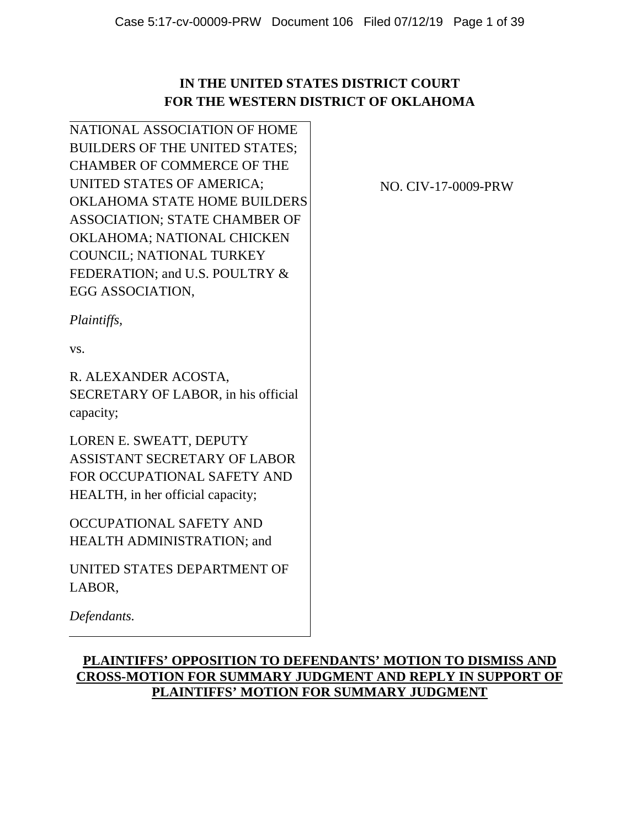## **IN THE UNITED STATES DISTRICT COURT FOR THE WESTERN DISTRICT OF OKLAHOMA**

NATIONAL ASSOCIATION OF HOME BUILDERS OF THE UNITED STATES; CHAMBER OF COMMERCE OF THE UNITED STATES OF AMERICA; OKLAHOMA STATE HOME BUILDERS ASSOCIATION; STATE CHAMBER OF OKLAHOMA; NATIONAL CHICKEN COUNCIL; NATIONAL TURKEY FEDERATION; and U.S. POULTRY & EGG ASSOCIATION,

NO. CIV-17-0009-PRW

*Plaintiffs,*

vs.

R. ALEXANDER ACOSTA, SECRETARY OF LABOR, in his official capacity;

LOREN E. SWEATT, DEPUTY ASSISTANT SECRETARY OF LABOR FOR OCCUPATIONAL SAFETY AND HEALTH, in her official capacity;

OCCUPATIONAL SAFETY AND HEALTH ADMINISTRATION; and

UNITED STATES DEPARTMENT OF LABOR,

*Defendants.*

## **PLAINTIFFS' OPPOSITION TO DEFENDANTS' MOTION TO DISMISS AND CROSS-MOTION FOR SUMMARY JUDGMENT AND REPLY IN SUPPORT OF PLAINTIFFS' MOTION FOR SUMMARY JUDGMENT**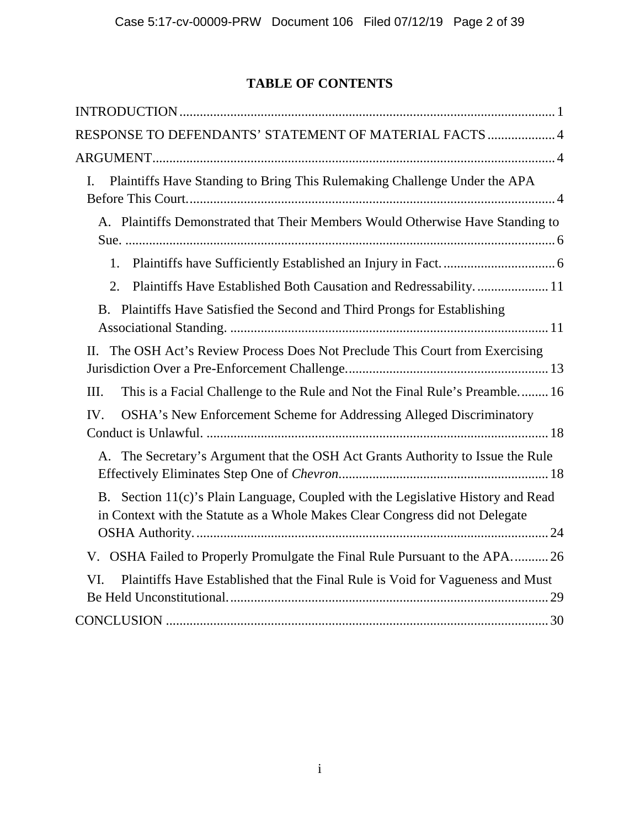## **TABLE OF CONTENTS**

| RESPONSE TO DEFENDANTS' STATEMENT OF MATERIAL FACTS  4                                                                                                           |
|------------------------------------------------------------------------------------------------------------------------------------------------------------------|
|                                                                                                                                                                  |
| Plaintiffs Have Standing to Bring This Rulemaking Challenge Under the APA<br>I.                                                                                  |
|                                                                                                                                                                  |
| A. Plaintiffs Demonstrated that Their Members Would Otherwise Have Standing to                                                                                   |
| 1.                                                                                                                                                               |
| Plaintiffs Have Established Both Causation and Redressability 11<br>2.                                                                                           |
| B. Plaintiffs Have Satisfied the Second and Third Prongs for Establishing                                                                                        |
| II. The OSH Act's Review Process Does Not Preclude This Court from Exercising                                                                                    |
| This is a Facial Challenge to the Rule and Not the Final Rule's Preamble 16<br>Ш.                                                                                |
| OSHA's New Enforcement Scheme for Addressing Alleged Discriminatory<br>IV.                                                                                       |
| A. The Secretary's Argument that the OSH Act Grants Authority to Issue the Rule                                                                                  |
| B. Section 11(c)'s Plain Language, Coupled with the Legislative History and Read<br>in Context with the Statute as a Whole Makes Clear Congress did not Delegate |
| V. OSHA Failed to Properly Promulgate the Final Rule Pursuant to the APA26                                                                                       |
| Plaintiffs Have Established that the Final Rule is Void for Vagueness and Must<br>VI.                                                                            |
|                                                                                                                                                                  |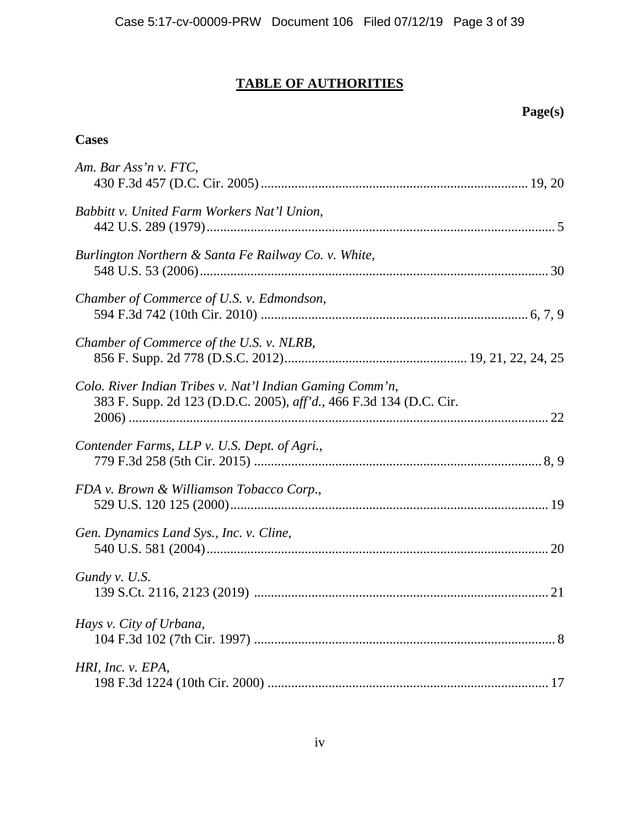# **TABLE OF AUTHORITIES**

# **Page(s)**

## **Cases**

| Am. Bar Ass'n v. FTC,                                                                                                          |
|--------------------------------------------------------------------------------------------------------------------------------|
|                                                                                                                                |
| Babbitt v. United Farm Workers Nat'l Union,                                                                                    |
| Burlington Northern & Santa Fe Railway Co. v. White,                                                                           |
| Chamber of Commerce of U.S. v. Edmondson,                                                                                      |
| Chamber of Commerce of the U.S. v. NLRB,                                                                                       |
| Colo. River Indian Tribes v. Nat'l Indian Gaming Comm'n,<br>383 F. Supp. 2d 123 (D.D.C. 2005), aff'd., 466 F.3d 134 (D.C. Cir. |
| Contender Farms, LLP v. U.S. Dept. of Agri.,                                                                                   |
| FDA v. Brown & Williamson Tobacco Corp.,                                                                                       |
| Gen. Dynamics Land Sys., Inc. v. Cline,                                                                                        |
| Gundy v. U.S.                                                                                                                  |
| Hays v. City of Urbana,                                                                                                        |
| HRI, Inc. v. EPA,                                                                                                              |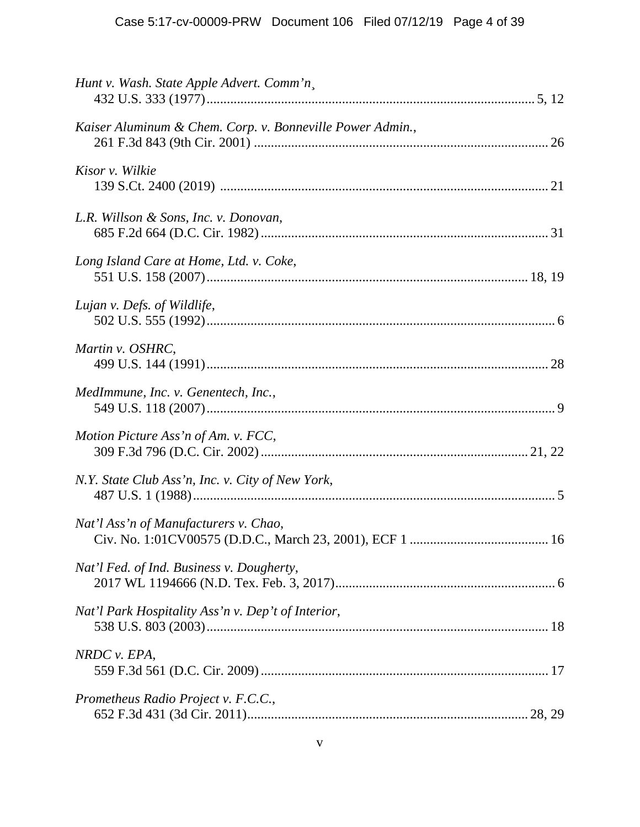| Hunt v. Wash. State Apple Advert. Comm'n,                 |
|-----------------------------------------------------------|
| Kaiser Aluminum & Chem. Corp. v. Bonneville Power Admin., |
| Kisor v. Wilkie                                           |
| L.R. Willson & Sons, Inc. v. Donovan,                     |
| Long Island Care at Home, Ltd. v. Coke,                   |
| Lujan v. Defs. of Wildlife,                               |
| Martin v. OSHRC,                                          |
| MedImmune, Inc. v. Genentech, Inc.,                       |
| Motion Picture Ass'n of Am. v. FCC,                       |
| N.Y. State Club Ass'n, Inc. v. City of New York,          |
| Nat'l Ass'n of Manufacturers v. Chao,                     |
| Nat'l Fed. of Ind. Business v. Dougherty,                 |
| Nat'l Park Hospitality Ass'n v. Dep't of Interior,        |
| NRDC v. EPA,                                              |
| Prometheus Radio Project v. F.C.C.,                       |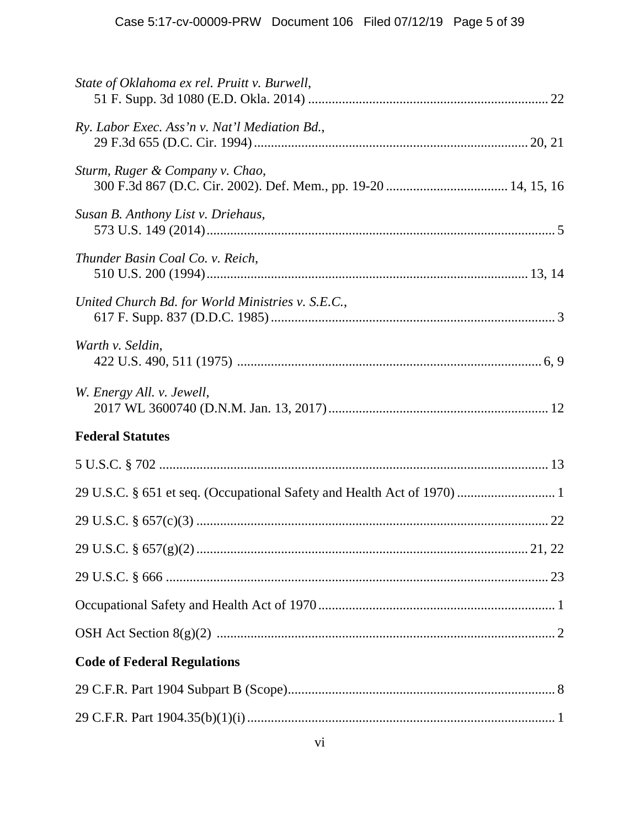| State of Oklahoma ex rel. Pruitt v. Burwell,                                                       |
|----------------------------------------------------------------------------------------------------|
| Ry. Labor Exec. Ass'n v. Nat'l Mediation Bd.,                                                      |
| Sturm, Ruger & Company v. Chao,<br>300 F.3d 867 (D.C. Cir. 2002). Def. Mem., pp. 19-20  14, 15, 16 |
| Susan B. Anthony List v. Driehaus,                                                                 |
| Thunder Basin Coal Co. v. Reich,                                                                   |
| United Church Bd. for World Ministries v. S.E.C.,                                                  |
| Warth v. Seldin,                                                                                   |
| W. Energy All. v. Jewell,                                                                          |
| <b>Federal Statutes</b>                                                                            |
|                                                                                                    |
|                                                                                                    |
|                                                                                                    |
|                                                                                                    |
|                                                                                                    |
|                                                                                                    |
|                                                                                                    |
| <b>Code of Federal Regulations</b>                                                                 |
|                                                                                                    |
|                                                                                                    |
|                                                                                                    |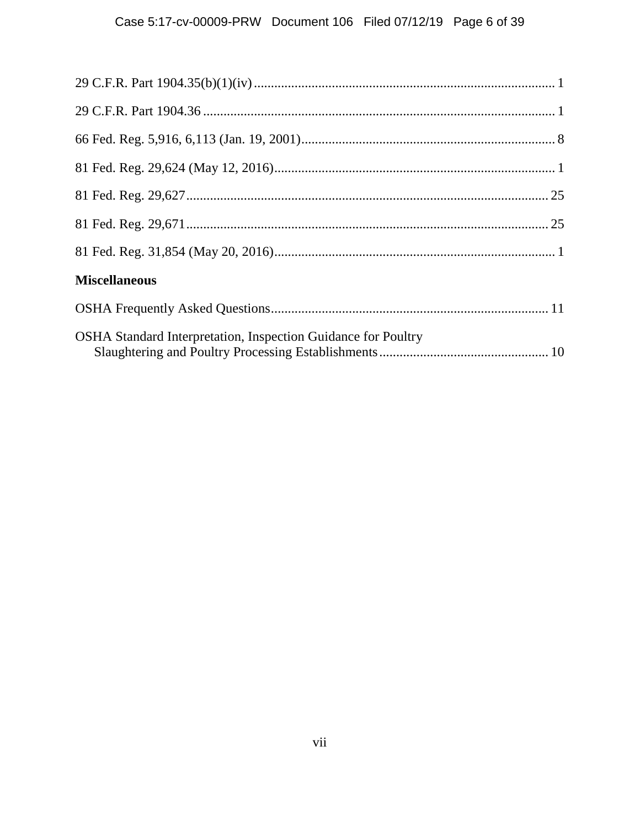## Case 5:17-cv-00009-PRW Document 106 Filed 07/12/19 Page 6 of 39

| <b>Miscellaneous</b>                                                 |
|----------------------------------------------------------------------|
|                                                                      |
| <b>OSHA Standard Interpretation, Inspection Guidance for Poultry</b> |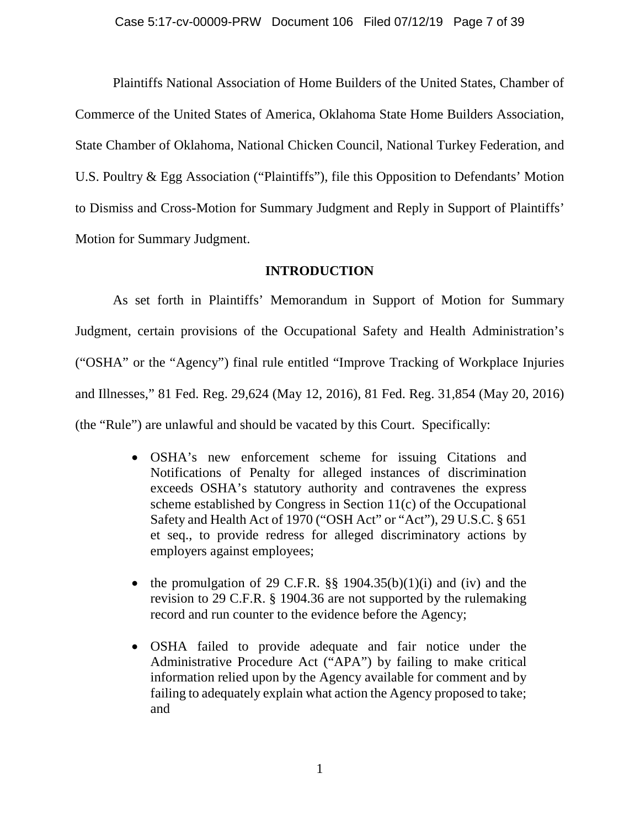Plaintiffs National Association of Home Builders of the United States, Chamber of Commerce of the United States of America, Oklahoma State Home Builders Association, State Chamber of Oklahoma, National Chicken Council, National Turkey Federation, and U.S. Poultry & Egg Association ("Plaintiffs"), file this Opposition to Defendants' Motion to Dismiss and Cross-Motion for Summary Judgment and Reply in Support of Plaintiffs' Motion for Summary Judgment.

## **INTRODUCTION**

As set forth in Plaintiffs' Memorandum in Support of Motion for Summary Judgment, certain provisions of the Occupational Safety and Health Administration's ("OSHA" or the "Agency") final rule entitled "Improve Tracking of Workplace Injuries and Illnesses," 81 Fed. Reg. 29,624 (May 12, 2016), 81 Fed. Reg. 31,854 (May 20, 2016) (the "Rule") are unlawful and should be vacated by this Court. Specifically:

- OSHA's new enforcement scheme for issuing Citations and Notifications of Penalty for alleged instances of discrimination exceeds OSHA's statutory authority and contravenes the express scheme established by Congress in Section 11(c) of the Occupational Safety and Health Act of 1970 ("OSH Act" or "Act"), 29 U.S.C. § 651 et seq., to provide redress for alleged discriminatory actions by employers against employees;
- the promulgation of 29 C.F.R.  $\S$  1904.35(b)(1)(i) and (iv) and the revision to 29 C.F.R. § 1904.36 are not supported by the rulemaking record and run counter to the evidence before the Agency;
- OSHA failed to provide adequate and fair notice under the Administrative Procedure Act ("APA") by failing to make critical information relied upon by the Agency available for comment and by failing to adequately explain what action the Agency proposed to take; and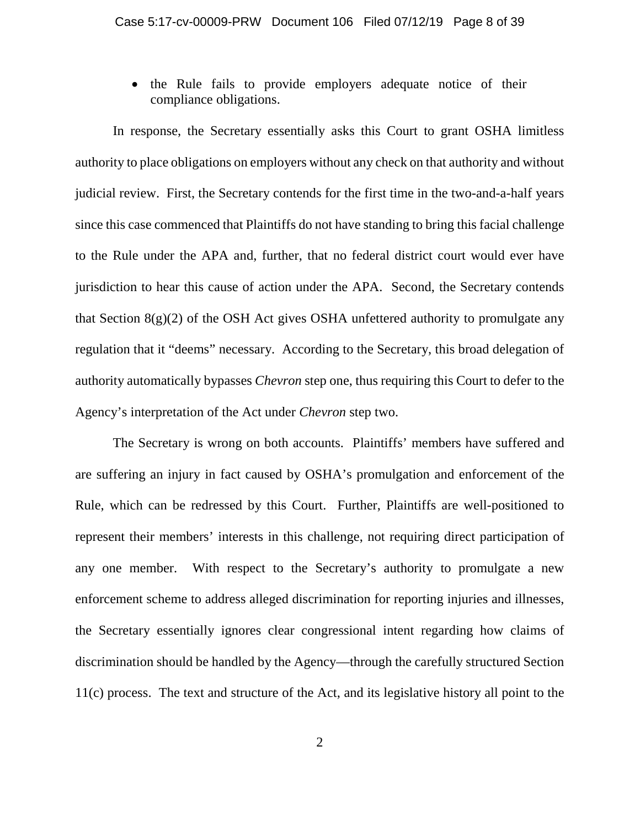• the Rule fails to provide employers adequate notice of their compliance obligations.

In response, the Secretary essentially asks this Court to grant OSHA limitless authority to place obligations on employers without any check on that authority and without judicial review. First, the Secretary contends for the first time in the two-and-a-half years since this case commenced that Plaintiffs do not have standing to bring this facial challenge to the Rule under the APA and, further, that no federal district court would ever have jurisdiction to hear this cause of action under the APA. Second, the Secretary contends that Section  $8(g)(2)$  of the OSH Act gives OSHA unfettered authority to promulgate any regulation that it "deems" necessary. According to the Secretary, this broad delegation of authority automatically bypasses *Chevron* step one, thus requiring this Court to defer to the Agency's interpretation of the Act under *Chevron* step two.

The Secretary is wrong on both accounts. Plaintiffs' members have suffered and are suffering an injury in fact caused by OSHA's promulgation and enforcement of the Rule, which can be redressed by this Court. Further, Plaintiffs are well-positioned to represent their members' interests in this challenge, not requiring direct participation of any one member. With respect to the Secretary's authority to promulgate a new enforcement scheme to address alleged discrimination for reporting injuries and illnesses, the Secretary essentially ignores clear congressional intent regarding how claims of discrimination should be handled by the Agency—through the carefully structured Section 11(c) process. The text and structure of the Act, and its legislative history all point to the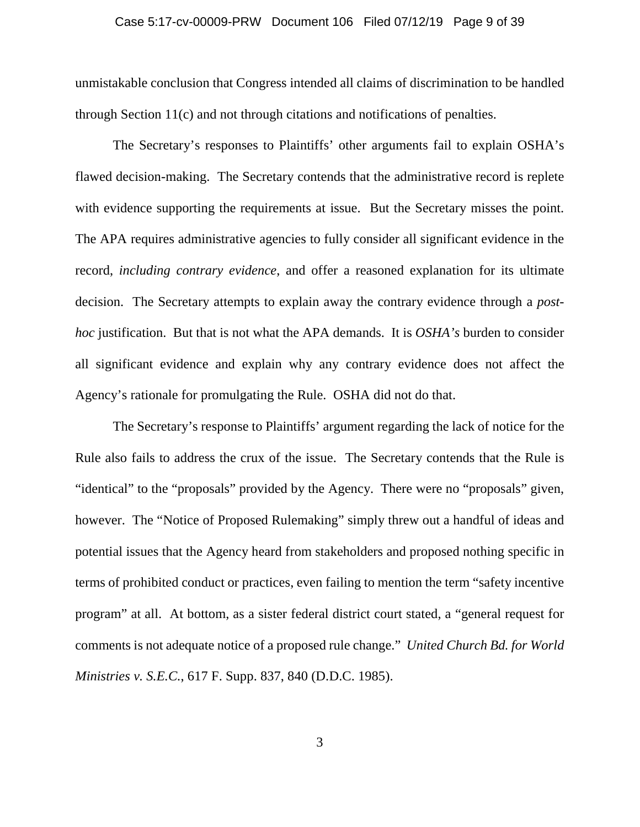## Case 5:17-cv-00009-PRW Document 106 Filed 07/12/19 Page 9 of 39

unmistakable conclusion that Congress intended all claims of discrimination to be handled through Section 11(c) and not through citations and notifications of penalties.

The Secretary's responses to Plaintiffs' other arguments fail to explain OSHA's flawed decision-making. The Secretary contends that the administrative record is replete with evidence supporting the requirements at issue. But the Secretary misses the point. The APA requires administrative agencies to fully consider all significant evidence in the record, *including contrary evidence*, and offer a reasoned explanation for its ultimate decision. The Secretary attempts to explain away the contrary evidence through a *posthoc* justification. But that is not what the APA demands. It is *OSHA's* burden to consider all significant evidence and explain why any contrary evidence does not affect the Agency's rationale for promulgating the Rule. OSHA did not do that.

The Secretary's response to Plaintiffs' argument regarding the lack of notice for the Rule also fails to address the crux of the issue. The Secretary contends that the Rule is "identical" to the "proposals" provided by the Agency. There were no "proposals" given, however. The "Notice of Proposed Rulemaking" simply threw out a handful of ideas and potential issues that the Agency heard from stakeholders and proposed nothing specific in terms of prohibited conduct or practices, even failing to mention the term "safety incentive program" at all. At bottom, as a sister federal district court stated, a "general request for comments is not adequate notice of a proposed rule change." *United Church Bd. for World Ministries v. S.E.C.*, 617 F. Supp. 837, 840 (D.D.C. 1985).

3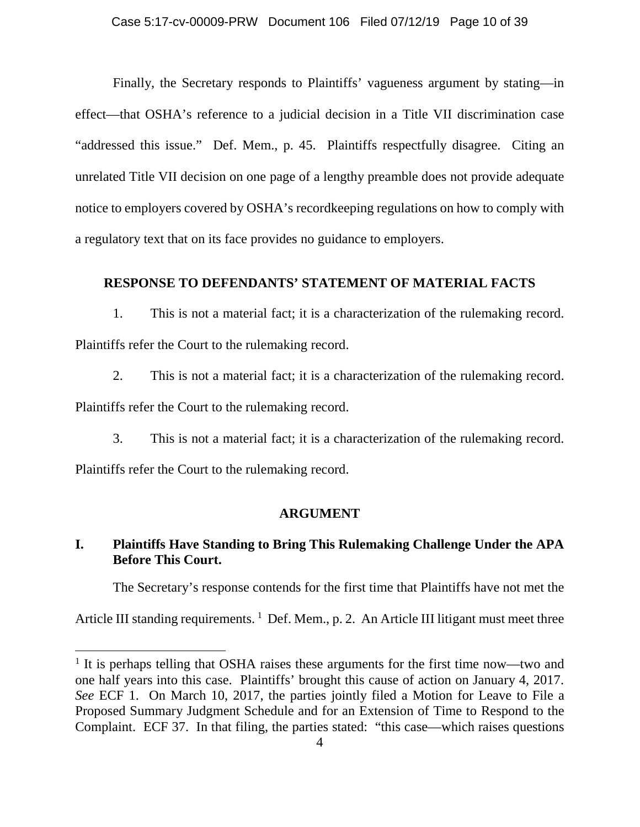Finally, the Secretary responds to Plaintiffs' vagueness argument by stating—in effect—that OSHA's reference to a judicial decision in a Title VII discrimination case "addressed this issue." Def. Mem., p. 45. Plaintiffs respectfully disagree. Citing an unrelated Title VII decision on one page of a lengthy preamble does not provide adequate notice to employers covered by OSHA's recordkeeping regulations on how to comply with a regulatory text that on its face provides no guidance to employers.

### **RESPONSE TO DEFENDANTS' STATEMENT OF MATERIAL FACTS**

1. This is not a material fact; it is a characterization of the rulemaking record. Plaintiffs refer the Court to the rulemaking record.

2. This is not a material fact; it is a characterization of the rulemaking record.

Plaintiffs refer the Court to the rulemaking record.

3. This is not a material fact; it is a characterization of the rulemaking record.

Plaintiffs refer the Court to the rulemaking record.

l

### **ARGUMENT**

## **I. Plaintiffs Have Standing to Bring This Rulemaking Challenge Under the APA Before This Court.**

The Secretary's response contends for the first time that Plaintiffs have not met the

Article III standing requirements.  $1$  Def. Mem., p. 2. An Article III litigant must meet three

<sup>&</sup>lt;sup>1</sup> It is perhaps telling that OSHA raises these arguments for the first time now—two and one half years into this case. Plaintiffs' brought this cause of action on January 4, 2017. *See* ECF 1. On March 10, 2017, the parties jointly filed a Motion for Leave to File a Proposed Summary Judgment Schedule and for an Extension of Time to Respond to the Complaint. ECF 37. In that filing, the parties stated: "this case—which raises questions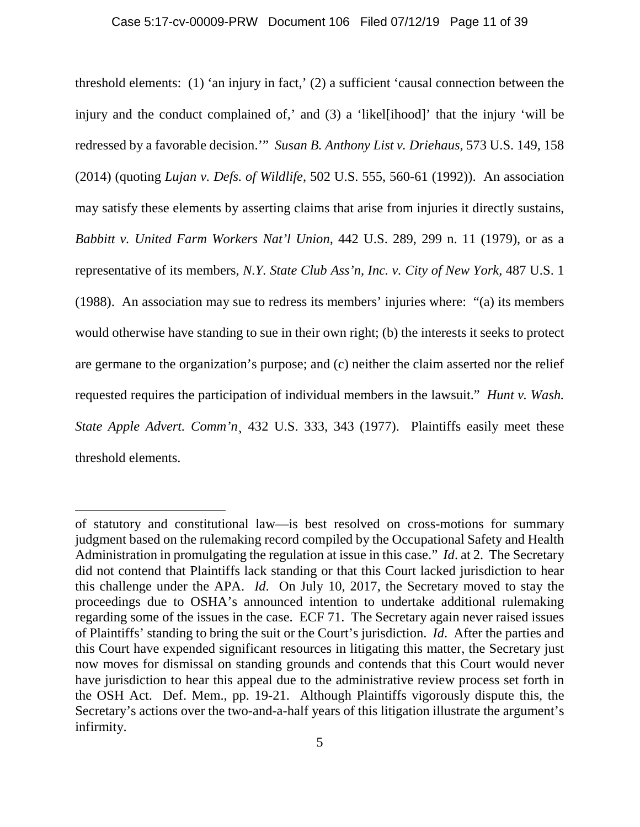threshold elements: (1) 'an injury in fact,' (2) a sufficient 'causal connection between the injury and the conduct complained of,' and (3) a 'likel[ihood]' that the injury 'will be redressed by a favorable decision.'" *Susan B. Anthony List v. Driehaus*, 573 U.S. 149, 158 (2014) (quoting *Lujan v. Defs. of Wildlife*, 502 U.S. 555, 560-61 (1992)). An association may satisfy these elements by asserting claims that arise from injuries it directly sustains, *Babbitt v. United Farm Workers Nat'l Union*, 442 U.S. 289, 299 n. 11 (1979), or as a representative of its members, *N.Y. State Club Ass'n, Inc. v. City of New York*, 487 U.S. 1 (1988). An association may sue to redress its members' injuries where: "(a) its members would otherwise have standing to sue in their own right; (b) the interests it seeks to protect are germane to the organization's purpose; and (c) neither the claim asserted nor the relief requested requires the participation of individual members in the lawsuit." *Hunt v. Wash. State Apple Advert. Comm'n*¸ 432 U.S. 333, 343 (1977). Plaintiffs easily meet these threshold elements.

l

of statutory and constitutional law—is best resolved on cross-motions for summary judgment based on the rulemaking record compiled by the Occupational Safety and Health Administration in promulgating the regulation at issue in this case." *Id*. at 2. The Secretary did not contend that Plaintiffs lack standing or that this Court lacked jurisdiction to hear this challenge under the APA. *Id*. On July 10, 2017, the Secretary moved to stay the proceedings due to OSHA's announced intention to undertake additional rulemaking regarding some of the issues in the case. ECF 71. The Secretary again never raised issues of Plaintiffs' standing to bring the suit or the Court's jurisdiction. *Id*. After the parties and this Court have expended significant resources in litigating this matter, the Secretary just now moves for dismissal on standing grounds and contends that this Court would never have jurisdiction to hear this appeal due to the administrative review process set forth in the OSH Act. Def. Mem., pp. 19-21. Although Plaintiffs vigorously dispute this, the Secretary's actions over the two-and-a-half years of this litigation illustrate the argument's infirmity.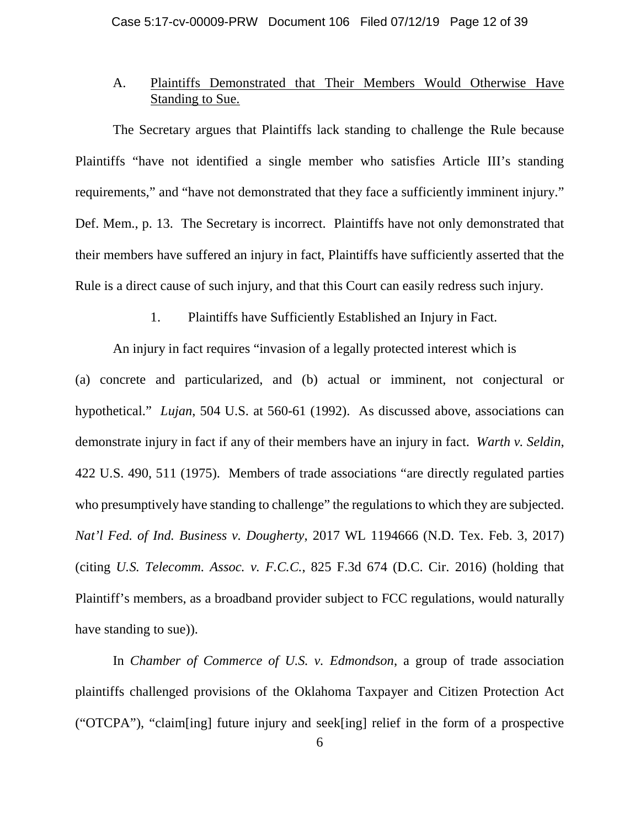## A. Plaintiffs Demonstrated that Their Members Would Otherwise Have Standing to Sue.

The Secretary argues that Plaintiffs lack standing to challenge the Rule because Plaintiffs "have not identified a single member who satisfies Article III's standing requirements," and "have not demonstrated that they face a sufficiently imminent injury." Def. Mem., p. 13. The Secretary is incorrect. Plaintiffs have not only demonstrated that their members have suffered an injury in fact, Plaintiffs have sufficiently asserted that the Rule is a direct cause of such injury, and that this Court can easily redress such injury.

1. Plaintiffs have Sufficiently Established an Injury in Fact.

An injury in fact requires "invasion of a legally protected interest which is (a) concrete and particularized, and (b) actual or imminent, not conjectural or hypothetical." *Lujan*, 504 U.S. at 560-61 (1992). As discussed above, associations can demonstrate injury in fact if any of their members have an injury in fact. *Warth v. Seldin*, 422 U.S. 490, 511 (1975). Members of trade associations "are directly regulated parties who presumptively have standing to challenge" the regulations to which they are subjected. *Nat'l Fed. of Ind. Business v. Dougherty*, 2017 WL 1194666 (N.D. Tex. Feb. 3, 2017) (citing *U.S. Telecomm. Assoc. v. F.C.C.*, 825 F.3d 674 (D.C. Cir. 2016) (holding that Plaintiff's members, as a broadband provider subject to FCC regulations, would naturally have standing to sue)).

In *Chamber of Commerce of U.S. v. Edmondson*, a group of trade association plaintiffs challenged provisions of the Oklahoma Taxpayer and Citizen Protection Act ("OTCPA"), "claim[ing] future injury and seek[ing] relief in the form of a prospective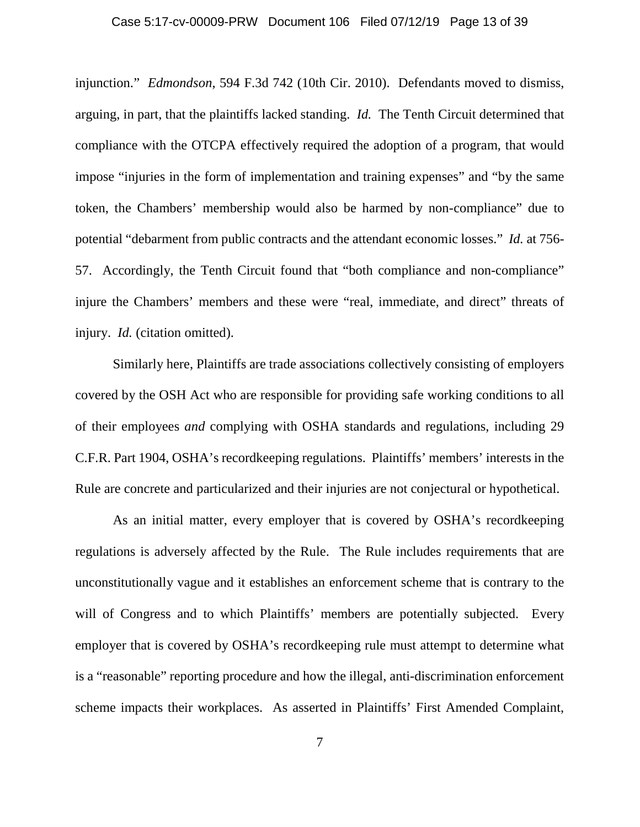#### Case 5:17-cv-00009-PRW Document 106 Filed 07/12/19 Page 13 of 39

injunction." *Edmondson*, 594 F.3d 742 (10th Cir. 2010). Defendants moved to dismiss, arguing, in part, that the plaintiffs lacked standing. *Id.* The Tenth Circuit determined that compliance with the OTCPA effectively required the adoption of a program, that would impose "injuries in the form of implementation and training expenses" and "by the same token, the Chambers' membership would also be harmed by non-compliance" due to potential "debarment from public contracts and the attendant economic losses." *Id.* at 756- 57. Accordingly, the Tenth Circuit found that "both compliance and non-compliance" injure the Chambers' members and these were "real, immediate, and direct" threats of injury. *Id.* (citation omitted).

Similarly here, Plaintiffs are trade associations collectively consisting of employers covered by the OSH Act who are responsible for providing safe working conditions to all of their employees *and* complying with OSHA standards and regulations, including 29 C.F.R. Part 1904, OSHA's recordkeeping regulations. Plaintiffs' members' interests in the Rule are concrete and particularized and their injuries are not conjectural or hypothetical.

As an initial matter, every employer that is covered by OSHA's recordkeeping regulations is adversely affected by the Rule. The Rule includes requirements that are unconstitutionally vague and it establishes an enforcement scheme that is contrary to the will of Congress and to which Plaintiffs' members are potentially subjected. Every employer that is covered by OSHA's recordkeeping rule must attempt to determine what is a "reasonable" reporting procedure and how the illegal, anti-discrimination enforcement scheme impacts their workplaces. As asserted in Plaintiffs' First Amended Complaint,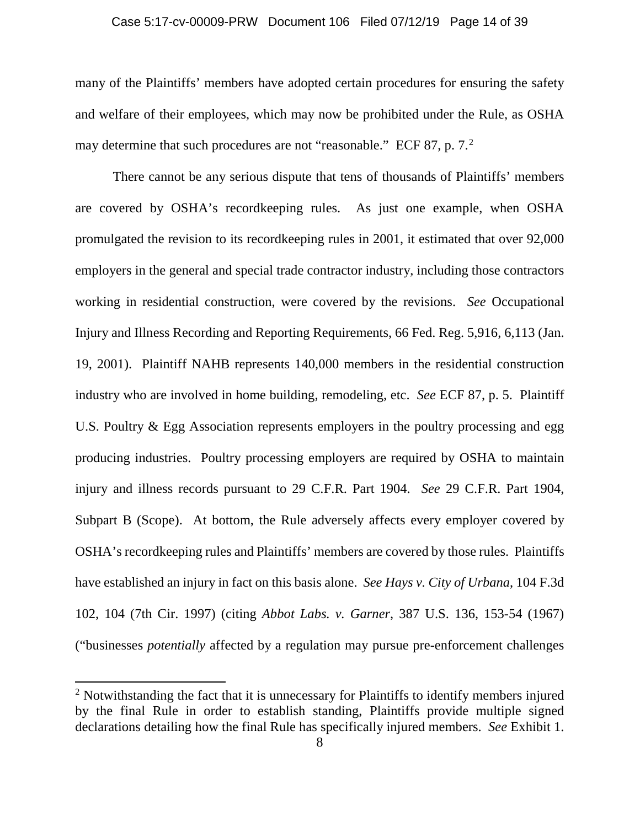#### Case 5:17-cv-00009-PRW Document 106 Filed 07/12/19 Page 14 of 39

many of the Plaintiffs' members have adopted certain procedures for ensuring the safety and welfare of their employees, which may now be prohibited under the Rule, as OSHA may determine that such procedures are not "reasonable." ECF 87, p. 7.<sup>2</sup>

There cannot be any serious dispute that tens of thousands of Plaintiffs' members are covered by OSHA's recordkeeping rules. As just one example, when OSHA promulgated the revision to its recordkeeping rules in 2001, it estimated that over 92,000 employers in the general and special trade contractor industry, including those contractors working in residential construction, were covered by the revisions. *See* Occupational Injury and Illness Recording and Reporting Requirements, 66 Fed. Reg. 5,916, 6,113 (Jan. 19, 2001). Plaintiff NAHB represents 140,000 members in the residential construction industry who are involved in home building, remodeling, etc. *See* ECF 87, p. 5. Plaintiff U.S. Poultry & Egg Association represents employers in the poultry processing and egg producing industries. Poultry processing employers are required by OSHA to maintain injury and illness records pursuant to 29 C.F.R. Part 1904. *See* 29 C.F.R. Part 1904, Subpart B (Scope). At bottom, the Rule adversely affects every employer covered by OSHA's recordkeeping rules and Plaintiffs' members are covered by those rules. Plaintiffs have established an injury in fact on this basis alone. *See Hays v. City of Urbana*, 104 F.3d 102, 104 (7th Cir. 1997) (citing *Abbot Labs. v. Garner*, 387 U.S. 136, 153-54 (1967) ("businesses *potentially* affected by a regulation may pursue pre-enforcement challenges

l

 $2$  Notwithstanding the fact that it is unnecessary for Plaintiffs to identify members injured by the final Rule in order to establish standing, Plaintiffs provide multiple signed declarations detailing how the final Rule has specifically injured members. *See* Exhibit 1.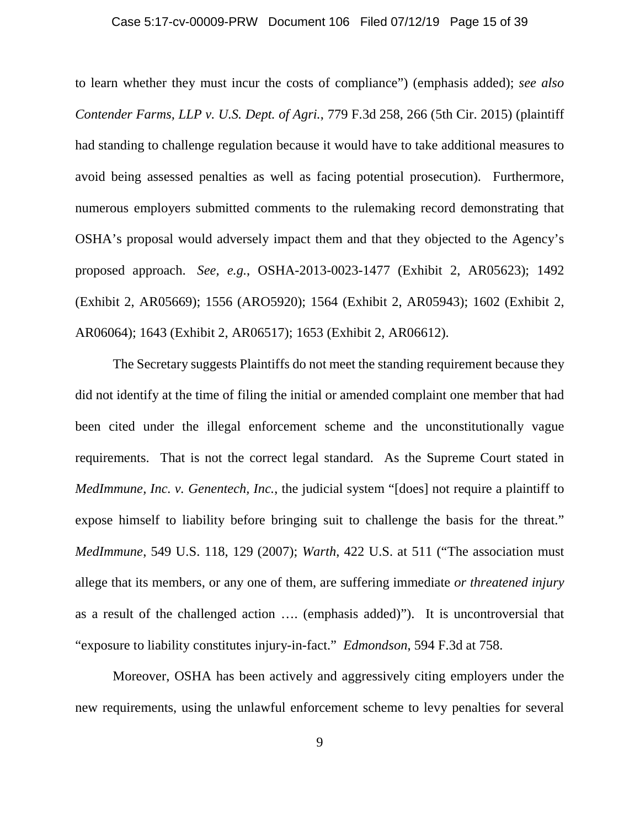#### Case 5:17-cv-00009-PRW Document 106 Filed 07/12/19 Page 15 of 39

to learn whether they must incur the costs of compliance") (emphasis added); *see also Contender Farms, LLP v. U.S. Dept. of Agri.*, 779 F.3d 258, 266 (5th Cir. 2015) (plaintiff had standing to challenge regulation because it would have to take additional measures to avoid being assessed penalties as well as facing potential prosecution). Furthermore, numerous employers submitted comments to the rulemaking record demonstrating that OSHA's proposal would adversely impact them and that they objected to the Agency's proposed approach. *See, e.g.*, OSHA-2013-0023-1477 (Exhibit 2, AR05623); 1492 (Exhibit 2, AR05669); 1556 (ARO5920); 1564 (Exhibit 2, AR05943); 1602 (Exhibit 2, AR06064); 1643 (Exhibit 2, AR06517); 1653 (Exhibit 2, AR06612).

The Secretary suggests Plaintiffs do not meet the standing requirement because they did not identify at the time of filing the initial or amended complaint one member that had been cited under the illegal enforcement scheme and the unconstitutionally vague requirements. That is not the correct legal standard. As the Supreme Court stated in *MedImmune, Inc. v. Genentech, Inc., the judicial system "[does] not require a plaintiff to* expose himself to liability before bringing suit to challenge the basis for the threat." *MedImmune*, 549 U.S. 118, 129 (2007); *Warth*, 422 U.S. at 511 ("The association must allege that its members, or any one of them, are suffering immediate *or threatened injury* as a result of the challenged action …. (emphasis added)"). It is uncontroversial that "exposure to liability constitutes injury-in-fact." *Edmondson*, 594 F.3d at 758.

Moreover, OSHA has been actively and aggressively citing employers under the new requirements, using the unlawful enforcement scheme to levy penalties for several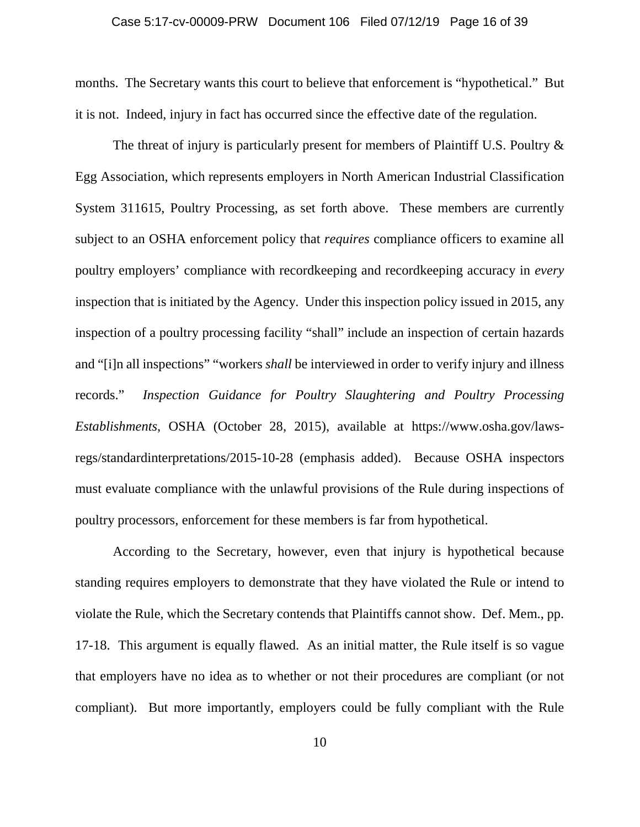#### Case 5:17-cv-00009-PRW Document 106 Filed 07/12/19 Page 16 of 39

months. The Secretary wants this court to believe that enforcement is "hypothetical." But it is not. Indeed, injury in fact has occurred since the effective date of the regulation.

The threat of injury is particularly present for members of Plaintiff U.S. Poultry  $\&$ Egg Association, which represents employers in North American Industrial Classification System 311615, Poultry Processing, as set forth above. These members are currently subject to an OSHA enforcement policy that *requires* compliance officers to examine all poultry employers' compliance with recordkeeping and recordkeeping accuracy in *every* inspection that is initiated by the Agency. Under this inspection policy issued in 2015, any inspection of a poultry processing facility "shall" include an inspection of certain hazards and "[i]n all inspections" "workers *shall* be interviewed in order to verify injury and illness records." *Inspection Guidance for Poultry Slaughtering and Poultry Processing Establishments*, OSHA (October 28, 2015), available at https://www.osha.gov/lawsregs/standardinterpretations/2015-10-28 (emphasis added). Because OSHA inspectors must evaluate compliance with the unlawful provisions of the Rule during inspections of poultry processors, enforcement for these members is far from hypothetical.

According to the Secretary, however, even that injury is hypothetical because standing requires employers to demonstrate that they have violated the Rule or intend to violate the Rule, which the Secretary contends that Plaintiffs cannot show. Def. Mem., pp. 17-18. This argument is equally flawed. As an initial matter, the Rule itself is so vague that employers have no idea as to whether or not their procedures are compliant (or not compliant). But more importantly, employers could be fully compliant with the Rule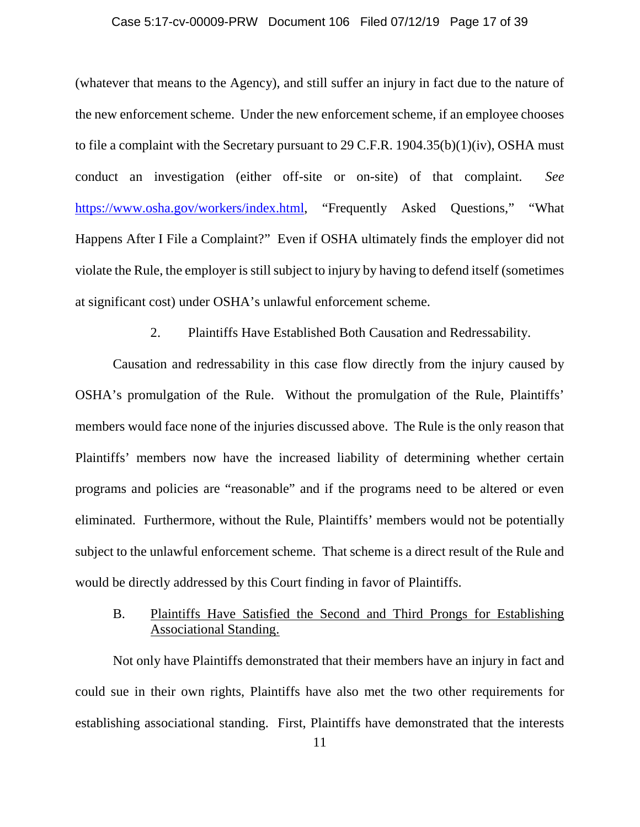#### Case 5:17-cv-00009-PRW Document 106 Filed 07/12/19 Page 17 of 39

(whatever that means to the Agency), and still suffer an injury in fact due to the nature of the new enforcement scheme. Under the new enforcement scheme, if an employee chooses to file a complaint with the Secretary pursuant to 29 C.F.R. 1904.35(b)(1)(iv), OSHA must conduct an investigation (either off-site or on-site) of that complaint. *See* https://www.osha.gov/workers/index.html, "Frequently Asked Questions," "What Happens After I File a Complaint?" Even if OSHA ultimately finds the employer did not violate the Rule, the employer is still subject to injury by having to defend itself (sometimes at significant cost) under OSHA's unlawful enforcement scheme.

2. Plaintiffs Have Established Both Causation and Redressability.

Causation and redressability in this case flow directly from the injury caused by OSHA's promulgation of the Rule. Without the promulgation of the Rule, Plaintiffs' members would face none of the injuries discussed above. The Rule is the only reason that Plaintiffs' members now have the increased liability of determining whether certain programs and policies are "reasonable" and if the programs need to be altered or even eliminated. Furthermore, without the Rule, Plaintiffs' members would not be potentially subject to the unlawful enforcement scheme. That scheme is a direct result of the Rule and would be directly addressed by this Court finding in favor of Plaintiffs.

## B. Plaintiffs Have Satisfied the Second and Third Prongs for Establishing Associational Standing.

Not only have Plaintiffs demonstrated that their members have an injury in fact and could sue in their own rights, Plaintiffs have also met the two other requirements for establishing associational standing. First, Plaintiffs have demonstrated that the interests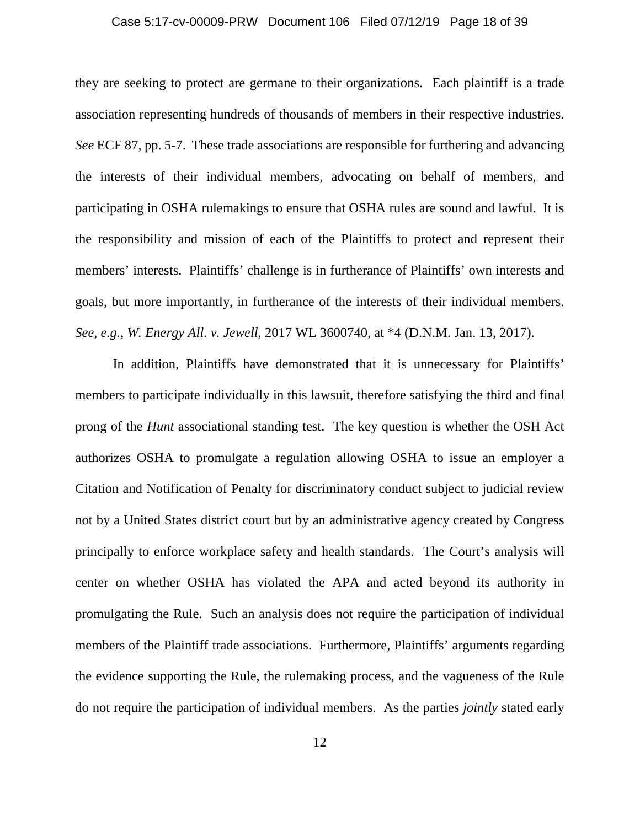#### Case 5:17-cv-00009-PRW Document 106 Filed 07/12/19 Page 18 of 39

they are seeking to protect are germane to their organizations. Each plaintiff is a trade association representing hundreds of thousands of members in their respective industries. *See* ECF 87, pp. 5-7. These trade associations are responsible for furthering and advancing the interests of their individual members, advocating on behalf of members, and participating in OSHA rulemakings to ensure that OSHA rules are sound and lawful. It is the responsibility and mission of each of the Plaintiffs to protect and represent their members' interests. Plaintiffs' challenge is in furtherance of Plaintiffs' own interests and goals, but more importantly, in furtherance of the interests of their individual members. *See*, *e.g.*, *W. Energy All. v. Jewell*, 2017 WL 3600740, at \*4 (D.N.M. Jan. 13, 2017).

In addition, Plaintiffs have demonstrated that it is unnecessary for Plaintiffs' members to participate individually in this lawsuit, therefore satisfying the third and final prong of the *Hunt* associational standing test. The key question is whether the OSH Act authorizes OSHA to promulgate a regulation allowing OSHA to issue an employer a Citation and Notification of Penalty for discriminatory conduct subject to judicial review not by a United States district court but by an administrative agency created by Congress principally to enforce workplace safety and health standards. The Court's analysis will center on whether OSHA has violated the APA and acted beyond its authority in promulgating the Rule. Such an analysis does not require the participation of individual members of the Plaintiff trade associations. Furthermore, Plaintiffs' arguments regarding the evidence supporting the Rule, the rulemaking process, and the vagueness of the Rule do not require the participation of individual members. As the parties *jointly* stated early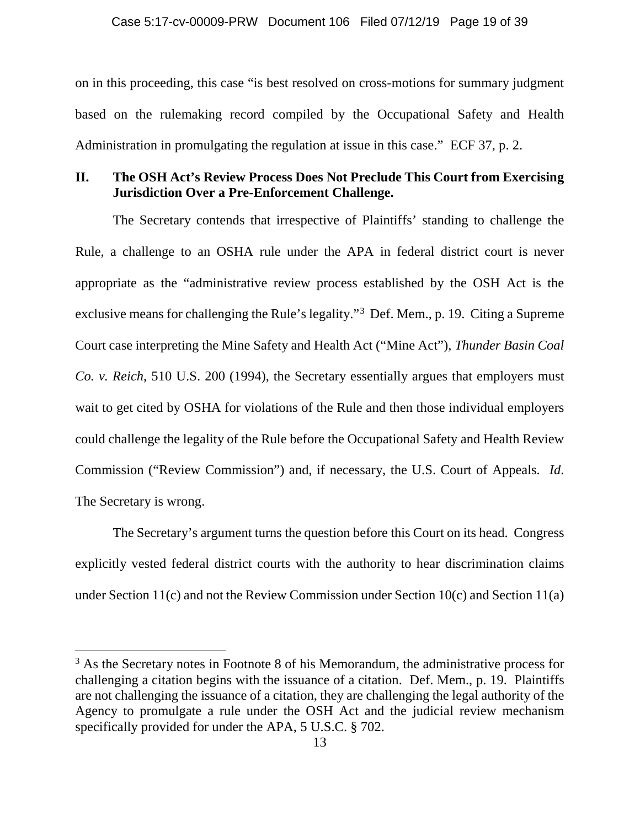on in this proceeding, this case "is best resolved on cross-motions for summary judgment based on the rulemaking record compiled by the Occupational Safety and Health Administration in promulgating the regulation at issue in this case." ECF 37, p. 2.

## **II. The OSH Act's Review Process Does Not Preclude This Court from Exercising Jurisdiction Over a Pre-Enforcement Challenge.**

The Secretary contends that irrespective of Plaintiffs' standing to challenge the Rule, a challenge to an OSHA rule under the APA in federal district court is never appropriate as the "administrative review process established by the OSH Act is the exclusive means for challenging the Rule's legality."<sup>3</sup> Def. Mem., p. 19. Citing a Supreme Court case interpreting the Mine Safety and Health Act ("Mine Act"), *Thunder Basin Coal Co. v. Reich*, 510 U.S. 200 (1994), the Secretary essentially argues that employers must wait to get cited by OSHA for violations of the Rule and then those individual employers could challenge the legality of the Rule before the Occupational Safety and Health Review Commission ("Review Commission") and, if necessary, the U.S. Court of Appeals. *Id*. The Secretary is wrong.

The Secretary's argument turns the question before this Court on its head. Congress explicitly vested federal district courts with the authority to hear discrimination claims under Section 11(c) and not the Review Commission under Section 10(c) and Section 11(a)

l

<sup>&</sup>lt;sup>3</sup> As the Secretary notes in Footnote 8 of his Memorandum, the administrative process for challenging a citation begins with the issuance of a citation. Def. Mem., p. 19. Plaintiffs are not challenging the issuance of a citation, they are challenging the legal authority of the Agency to promulgate a rule under the OSH Act and the judicial review mechanism specifically provided for under the APA, 5 U.S.C. § 702.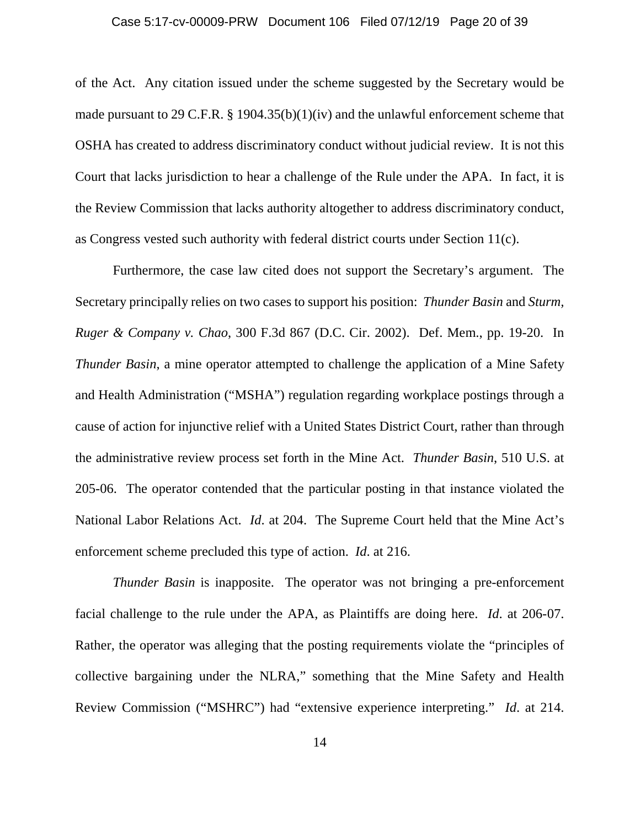#### Case 5:17-cv-00009-PRW Document 106 Filed 07/12/19 Page 20 of 39

of the Act. Any citation issued under the scheme suggested by the Secretary would be made pursuant to 29 C.F.R. § 1904.35(b)(1)(iv) and the unlawful enforcement scheme that OSHA has created to address discriminatory conduct without judicial review. It is not this Court that lacks jurisdiction to hear a challenge of the Rule under the APA. In fact, it is the Review Commission that lacks authority altogether to address discriminatory conduct, as Congress vested such authority with federal district courts under Section 11(c).

Furthermore, the case law cited does not support the Secretary's argument. The Secretary principally relies on two cases to support his position: *Thunder Basin* and *Sturm, Ruger & Company v. Chao*, 300 F.3d 867 (D.C. Cir. 2002). Def. Mem., pp. 19-20. In *Thunder Basin*, a mine operator attempted to challenge the application of a Mine Safety and Health Administration ("MSHA") regulation regarding workplace postings through a cause of action for injunctive relief with a United States District Court, rather than through the administrative review process set forth in the Mine Act. *Thunder Basin*, 510 U.S. at 205-06. The operator contended that the particular posting in that instance violated the National Labor Relations Act. *Id*. at 204. The Supreme Court held that the Mine Act's enforcement scheme precluded this type of action. *Id*. at 216.

*Thunder Basin* is inapposite. The operator was not bringing a pre-enforcement facial challenge to the rule under the APA, as Plaintiffs are doing here. *Id*. at 206-07. Rather, the operator was alleging that the posting requirements violate the "principles of collective bargaining under the NLRA," something that the Mine Safety and Health Review Commission ("MSHRC") had "extensive experience interpreting." *Id*. at 214.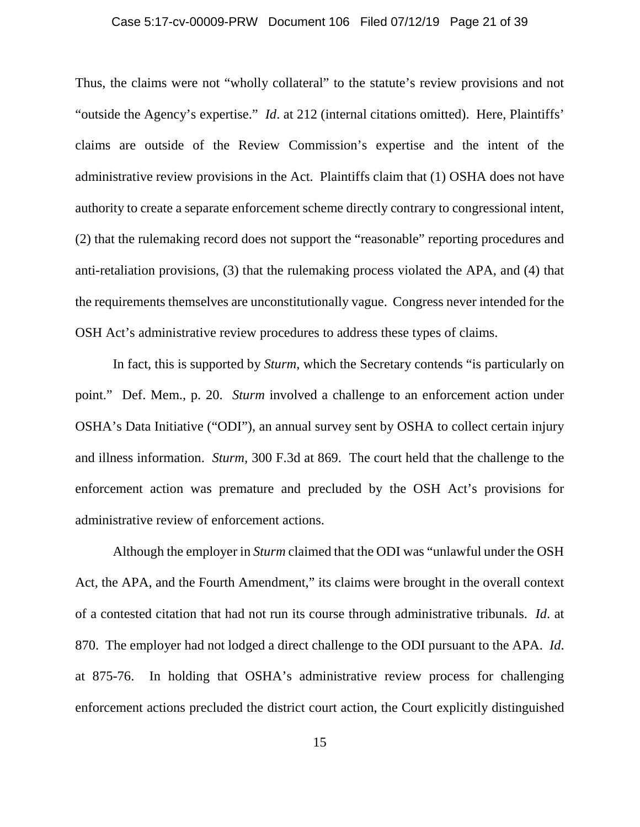#### Case 5:17-cv-00009-PRW Document 106 Filed 07/12/19 Page 21 of 39

Thus, the claims were not "wholly collateral" to the statute's review provisions and not "outside the Agency's expertise." *Id*. at 212 (internal citations omitted). Here, Plaintiffs' claims are outside of the Review Commission's expertise and the intent of the administrative review provisions in the Act. Plaintiffs claim that (1) OSHA does not have authority to create a separate enforcement scheme directly contrary to congressional intent, (2) that the rulemaking record does not support the "reasonable" reporting procedures and anti-retaliation provisions, (3) that the rulemaking process violated the APA, and (4) that the requirements themselves are unconstitutionally vague. Congress never intended for the OSH Act's administrative review procedures to address these types of claims.

In fact, this is supported by *Sturm*, which the Secretary contends "is particularly on point." Def. Mem., p. 20. *Sturm* involved a challenge to an enforcement action under OSHA's Data Initiative ("ODI"), an annual survey sent by OSHA to collect certain injury and illness information. *Sturm,* 300 F.3d at 869. The court held that the challenge to the enforcement action was premature and precluded by the OSH Act's provisions for administrative review of enforcement actions.

Although the employer in *Sturm* claimed that the ODI was "unlawful under the OSH Act, the APA, and the Fourth Amendment," its claims were brought in the overall context of a contested citation that had not run its course through administrative tribunals. *Id*. at 870. The employer had not lodged a direct challenge to the ODI pursuant to the APA. *Id*. at 875-76. In holding that OSHA's administrative review process for challenging enforcement actions precluded the district court action, the Court explicitly distinguished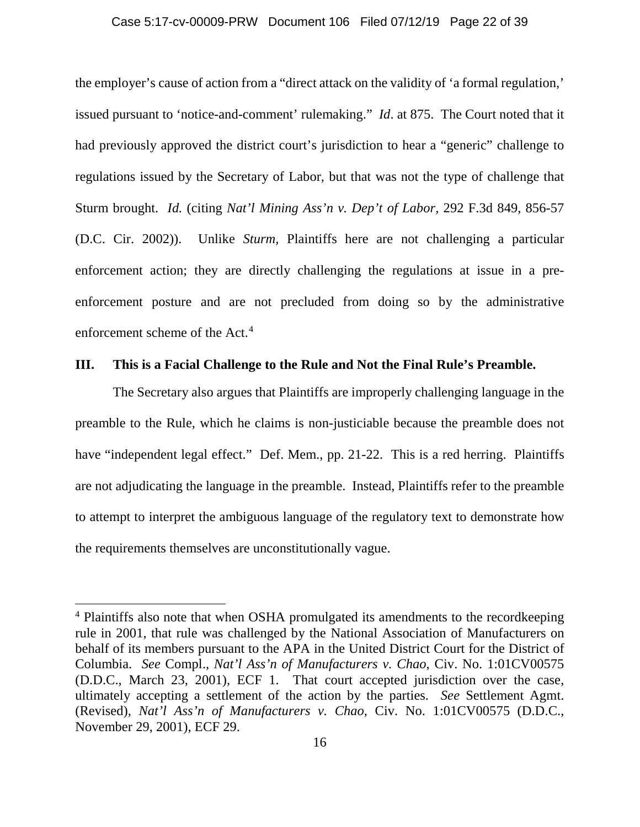#### Case 5:17-cv-00009-PRW Document 106 Filed 07/12/19 Page 22 of 39

the employer's cause of action from a "direct attack on the validity of 'a formal regulation,' issued pursuant to 'notice-and-comment' rulemaking." *Id*. at 875. The Court noted that it had previously approved the district court's jurisdiction to hear a "generic" challenge to regulations issued by the Secretary of Labor*,* but that was not the type of challenge that Sturm brought. *Id.* (citing *Nat'l Mining Ass'n v. Dep't of Labor,* 292 F.3d 849, 856-57 (D.C. Cir. 2002)). Unlike *Sturm,* Plaintiffs here are not challenging a particular enforcement action; they are directly challenging the regulations at issue in a preenforcement posture and are not precluded from doing so by the administrative enforcement scheme of the Act.<sup>4</sup>

### **III. This is a Facial Challenge to the Rule and Not the Final Rule's Preamble.**

The Secretary also argues that Plaintiffs are improperly challenging language in the preamble to the Rule, which he claims is non-justiciable because the preamble does not have "independent legal effect." Def. Mem., pp. 21-22. This is a red herring. Plaintiffs are not adjudicating the language in the preamble. Instead, Plaintiffs refer to the preamble to attempt to interpret the ambiguous language of the regulatory text to demonstrate how the requirements themselves are unconstitutionally vague.

 $\overline{\phantom{a}}$ 

<sup>4</sup> Plaintiffs also note that when OSHA promulgated its amendments to the recordkeeping rule in 2001, that rule was challenged by the National Association of Manufacturers on behalf of its members pursuant to the APA in the United District Court for the District of Columbia. *See* Compl., *Nat'l Ass'n of Manufacturers v. Chao*, Civ. No. 1:01CV00575 (D.D.C., March 23, 2001), ECF 1. That court accepted jurisdiction over the case, ultimately accepting a settlement of the action by the parties. *See* Settlement Agmt. (Revised), *Nat'l Ass'n of Manufacturers v. Chao*, Civ. No. 1:01CV00575 (D.D.C., November 29, 2001), ECF 29.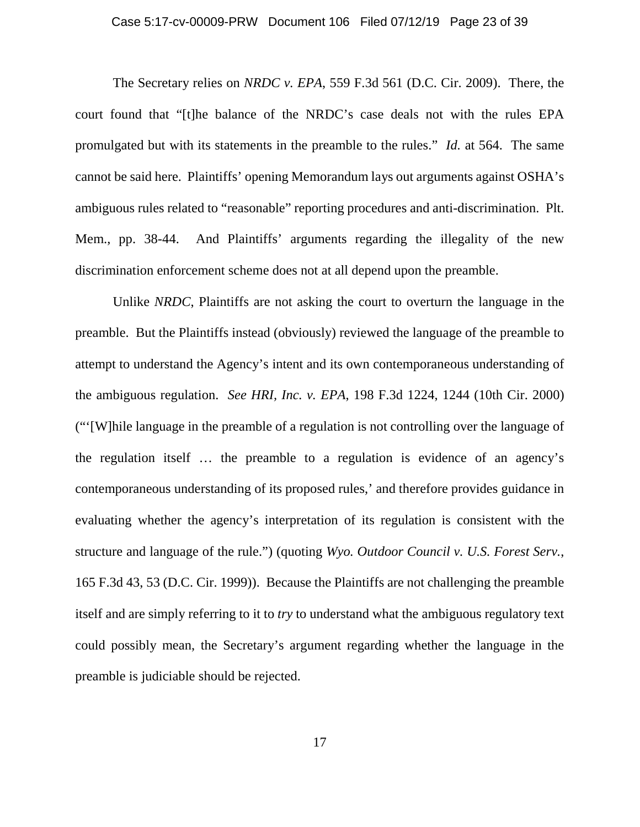#### Case 5:17-cv-00009-PRW Document 106 Filed 07/12/19 Page 23 of 39

The Secretary relies on *NRDC v. EPA*, 559 F.3d 561 (D.C. Cir. 2009). There, the court found that "[t]he balance of the NRDC's case deals not with the rules EPA promulgated but with its statements in the preamble to the rules." *Id.* at 564. The same cannot be said here. Plaintiffs' opening Memorandum lays out arguments against OSHA's ambiguous rules related to "reasonable" reporting procedures and anti-discrimination. Plt. Mem., pp. 38-44. And Plaintiffs' arguments regarding the illegality of the new discrimination enforcement scheme does not at all depend upon the preamble.

Unlike *NRDC*, Plaintiffs are not asking the court to overturn the language in the preamble. But the Plaintiffs instead (obviously) reviewed the language of the preamble to attempt to understand the Agency's intent and its own contemporaneous understanding of the ambiguous regulation. *See HRI, Inc. v. EPA*, 198 F.3d 1224, 1244 (10th Cir. 2000) ("'[W]hile language in the preamble of a regulation is not controlling over the language of the regulation itself … the preamble to a regulation is evidence of an agency's contemporaneous understanding of its proposed rules,' and therefore provides guidance in evaluating whether the agency's interpretation of its regulation is consistent with the structure and language of the rule.") (quoting *Wyo. Outdoor Council v. U.S. Forest Serv.*, 165 F.3d 43, 53 (D.C. Cir. 1999)). Because the Plaintiffs are not challenging the preamble itself and are simply referring to it to *try* to understand what the ambiguous regulatory text could possibly mean, the Secretary's argument regarding whether the language in the preamble is judiciable should be rejected.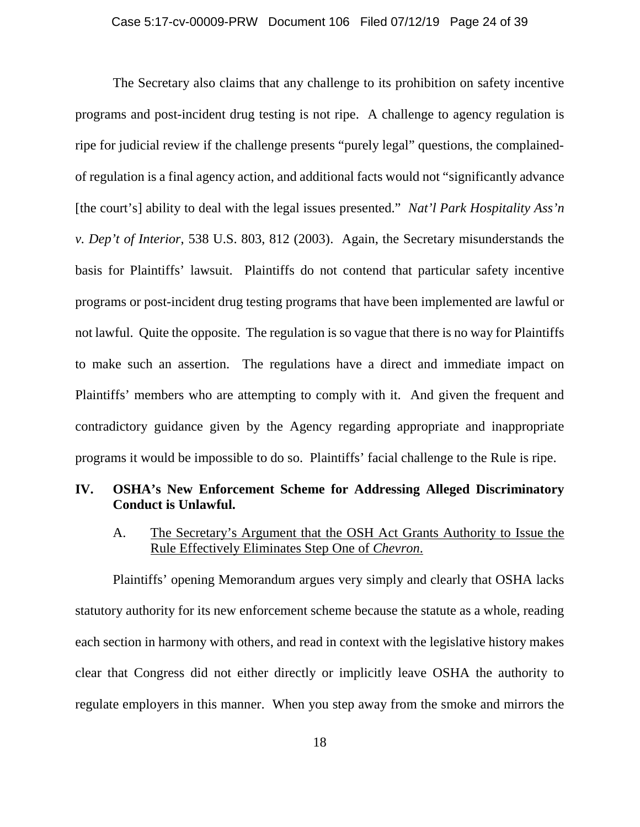The Secretary also claims that any challenge to its prohibition on safety incentive programs and post-incident drug testing is not ripe. A challenge to agency regulation is ripe for judicial review if the challenge presents "purely legal" questions, the complainedof regulation is a final agency action, and additional facts would not "significantly advance [the court's] ability to deal with the legal issues presented." *Nat'l Park Hospitality Ass'n v. Dep't of Interior*, 538 U.S. 803, 812 (2003). Again, the Secretary misunderstands the basis for Plaintiffs' lawsuit. Plaintiffs do not contend that particular safety incentive programs or post-incident drug testing programs that have been implemented are lawful or not lawful. Quite the opposite. The regulation is so vague that there is no way for Plaintiffs to make such an assertion. The regulations have a direct and immediate impact on Plaintiffs' members who are attempting to comply with it. And given the frequent and contradictory guidance given by the Agency regarding appropriate and inappropriate programs it would be impossible to do so. Plaintiffs' facial challenge to the Rule is ripe.

## **IV. OSHA's New Enforcement Scheme for Addressing Alleged Discriminatory Conduct is Unlawful.**

A. The Secretary's Argument that the OSH Act Grants Authority to Issue the Rule Effectively Eliminates Step One of *Chevron*.

Plaintiffs' opening Memorandum argues very simply and clearly that OSHA lacks statutory authority for its new enforcement scheme because the statute as a whole, reading each section in harmony with others, and read in context with the legislative history makes clear that Congress did not either directly or implicitly leave OSHA the authority to regulate employers in this manner. When you step away from the smoke and mirrors the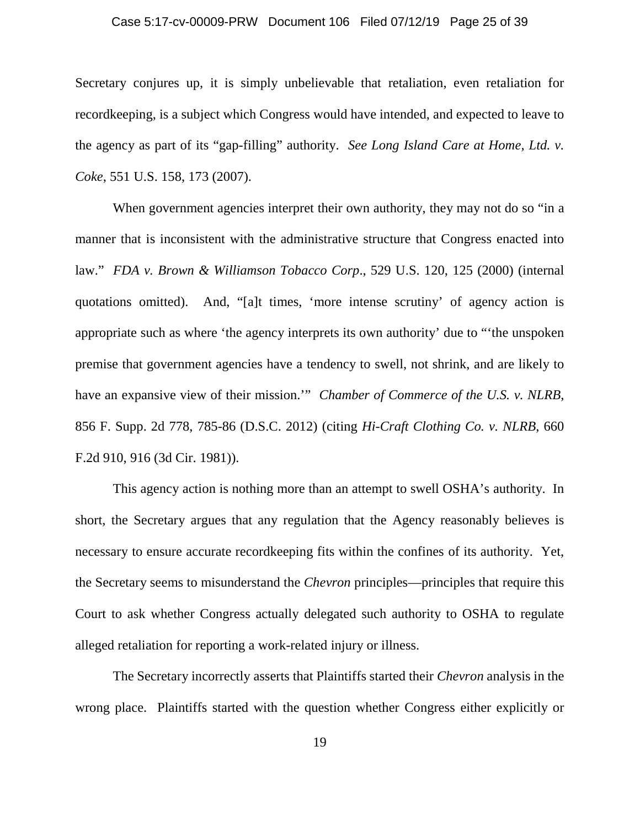#### Case 5:17-cv-00009-PRW Document 106 Filed 07/12/19 Page 25 of 39

Secretary conjures up, it is simply unbelievable that retaliation, even retaliation for recordkeeping, is a subject which Congress would have intended, and expected to leave to the agency as part of its "gap-filling" authority. *See Long Island Care at Home, Ltd. v. Coke*, 551 U.S. 158, 173 (2007).

When government agencies interpret their own authority, they may not do so "in a manner that is inconsistent with the administrative structure that Congress enacted into law." *FDA v. Brown & Williamson Tobacco Corp*., 529 U.S. 120, 125 (2000) (internal quotations omitted). And, "[a]t times, 'more intense scrutiny' of agency action is appropriate such as where 'the agency interprets its own authority' due to "'the unspoken premise that government agencies have a tendency to swell, not shrink, and are likely to have an expansive view of their mission.'" *Chamber of Commerce of the U.S. v. NLRB*, 856 F. Supp. 2d 778, 785-86 (D.S.C. 2012) (citing *Hi-Craft Clothing Co. v. NLRB*, 660 F.2d 910, 916 (3d Cir. 1981)).

This agency action is nothing more than an attempt to swell OSHA's authority. In short, the Secretary argues that any regulation that the Agency reasonably believes is necessary to ensure accurate recordkeeping fits within the confines of its authority. Yet, the Secretary seems to misunderstand the *Chevron* principles—principles that require this Court to ask whether Congress actually delegated such authority to OSHA to regulate alleged retaliation for reporting a work-related injury or illness.

The Secretary incorrectly asserts that Plaintiffs started their *Chevron* analysis in the wrong place. Plaintiffs started with the question whether Congress either explicitly or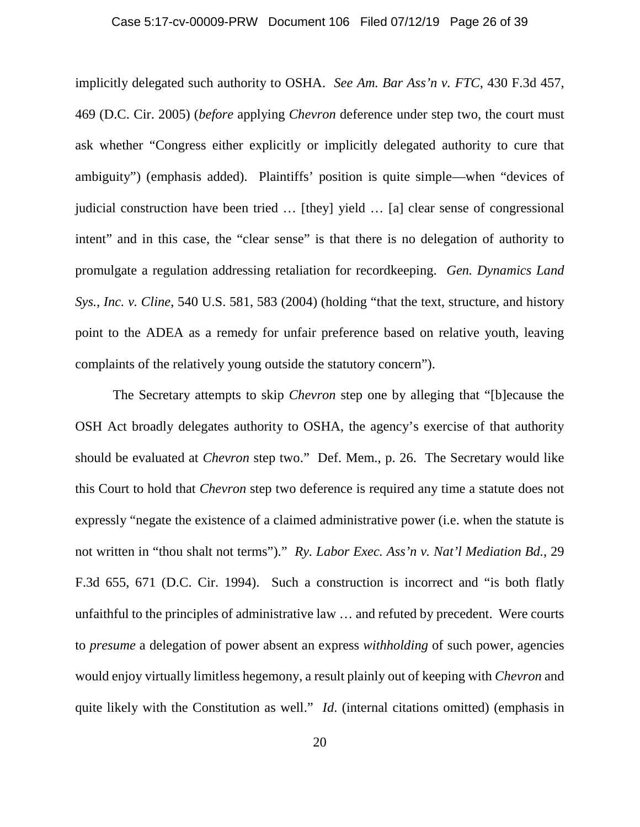#### Case 5:17-cv-00009-PRW Document 106 Filed 07/12/19 Page 26 of 39

implicitly delegated such authority to OSHA. *See Am. Bar Ass'n v. FTC*, 430 F.3d 457, 469 (D.C. Cir. 2005) (*before* applying *Chevron* deference under step two, the court must ask whether "Congress either explicitly or implicitly delegated authority to cure that ambiguity") (emphasis added). Plaintiffs' position is quite simple—when "devices of judicial construction have been tried … [they] yield … [a] clear sense of congressional intent" and in this case, the "clear sense" is that there is no delegation of authority to promulgate a regulation addressing retaliation for recordkeeping. *Gen. Dynamics Land Sys., Inc. v. Cline*, 540 U.S. 581, 583 (2004) (holding "that the text, structure, and history point to the ADEA as a remedy for unfair preference based on relative youth, leaving complaints of the relatively young outside the statutory concern").

The Secretary attempts to skip *Chevron* step one by alleging that "[b]ecause the OSH Act broadly delegates authority to OSHA, the agency's exercise of that authority should be evaluated at *Chevron* step two." Def. Mem., p. 26. The Secretary would like this Court to hold that *Chevron* step two deference is required any time a statute does not expressly "negate the existence of a claimed administrative power (i.e. when the statute is not written in "thou shalt not terms")." *Ry. Labor Exec. Ass'n v. Nat'l Mediation Bd.*, 29 F.3d 655, 671 (D.C. Cir. 1994). Such a construction is incorrect and "is both flatly unfaithful to the principles of administrative law … and refuted by precedent. Were courts to *presume* a delegation of power absent an express *withholding* of such power, agencies would enjoy virtually limitless hegemony, a result plainly out of keeping with *Chevron* and quite likely with the Constitution as well." *Id*. (internal citations omitted) (emphasis in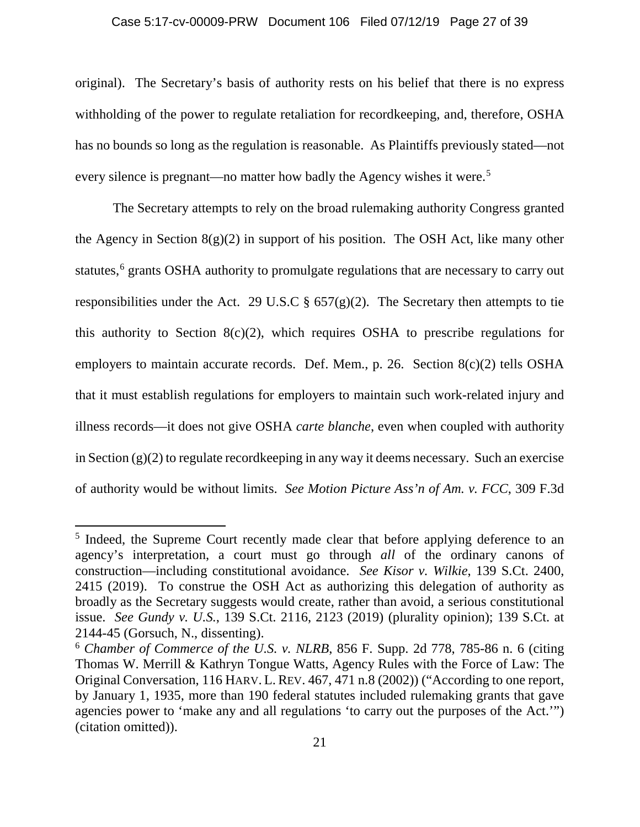#### Case 5:17-cv-00009-PRW Document 106 Filed 07/12/19 Page 27 of 39

original). The Secretary's basis of authority rests on his belief that there is no express withholding of the power to regulate retaliation for recordkeeping, and, therefore, OSHA has no bounds so long as the regulation is reasonable. As Plaintiffs previously stated—not every silence is pregnant—no matter how badly the Agency wishes it were.<sup>5</sup>

The Secretary attempts to rely on the broad rulemaking authority Congress granted the Agency in Section  $8(g)(2)$  in support of his position. The OSH Act, like many other statutes,<sup>6</sup> grants OSHA authority to promulgate regulations that are necessary to carry out responsibilities under the Act. 29 U.S.C  $\S$  657(g)(2). The Secretary then attempts to tie this authority to Section  $8(c)(2)$ , which requires OSHA to prescribe regulations for employers to maintain accurate records. Def. Mem., p. 26. Section 8(c)(2) tells OSHA that it must establish regulations for employers to maintain such work-related injury and illness records—it does not give OSHA *carte blanche*, even when coupled with authority in Section (g)(2) to regulate recordkeeping in any way it deems necessary. Such an exercise of authority would be without limits. *See Motion Picture Ass'n of Am. v. FCC*, 309 F.3d

l

<sup>&</sup>lt;sup>5</sup> Indeed, the Supreme Court recently made clear that before applying deference to an agency's interpretation, a court must go through *all* of the ordinary canons of construction—including constitutional avoidance. *See Kisor v. Wilkie*, 139 S.Ct. 2400, 2415 (2019). To construe the OSH Act as authorizing this delegation of authority as broadly as the Secretary suggests would create, rather than avoid, a serious constitutional issue. *See Gundy v. U.S.*, 139 S.Ct. 2116, 2123 (2019) (plurality opinion); 139 S.Ct. at 2144-45 (Gorsuch, N., dissenting).

<sup>6</sup> *Chamber of Commerce of the U.S. v. NLRB*, 856 F. Supp. 2d 778, 785-86 n. 6 (citing Thomas W. Merrill & Kathryn Tongue Watts, Agency Rules with the Force of Law: The Original Conversation, 116 HARV. L. REV. 467, 471 n.8 (2002)) ("According to one report, by January 1, 1935, more than 190 federal statutes included rulemaking grants that gave agencies power to 'make any and all regulations 'to carry out the purposes of the Act.'") (citation omitted)).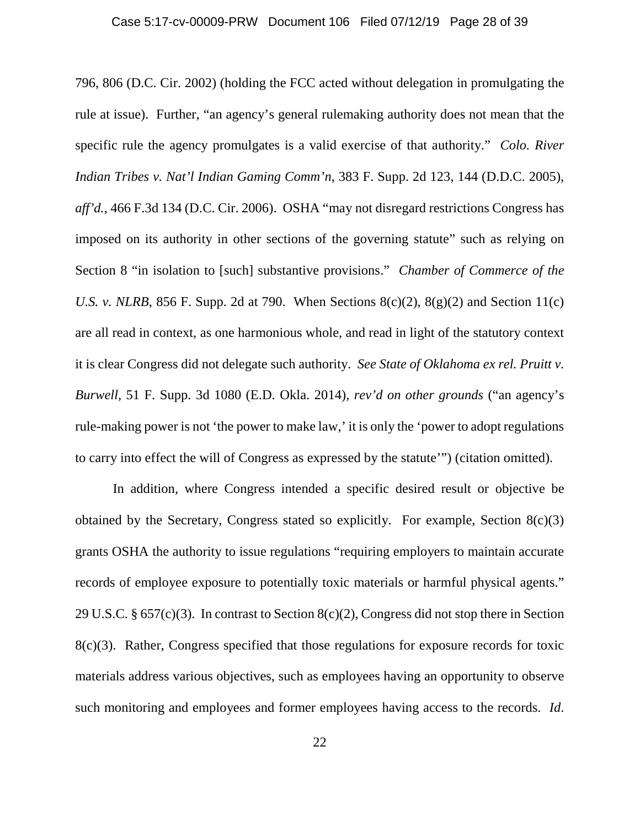796, 806 (D.C. Cir. 2002) (holding the FCC acted without delegation in promulgating the rule at issue). Further, "an agency's general rulemaking authority does not mean that the specific rule the agency promulgates is a valid exercise of that authority." *Colo. River Indian Tribes v. Nat'l Indian Gaming Comm'n*, 383 F. Supp. 2d 123, 144 (D.D.C. 2005), *aff'd.*, 466 F.3d 134 (D.C. Cir. 2006). OSHA "may not disregard restrictions Congress has imposed on its authority in other sections of the governing statute" such as relying on Section 8 "in isolation to [such] substantive provisions." *Chamber of Commerce of the U.S. v. NLRB*, 856 F. Supp. 2d at 790. When Sections  $8(c)(2)$ ,  $8(g)(2)$  and Section 11(c) are all read in context, as one harmonious whole, and read in light of the statutory context it is clear Congress did not delegate such authority. *See State of Oklahoma ex rel. Pruitt v. Burwell,* 51 F. Supp. 3d 1080 (E.D. Okla. 2014), *rev'd on other grounds* ("an agency's rule-making power is not 'the power to make law,' it is only the 'power to adopt regulations to carry into effect the will of Congress as expressed by the statute'") (citation omitted).

In addition, where Congress intended a specific desired result or objective be obtained by the Secretary, Congress stated so explicitly. For example, Section 8(c)(3) grants OSHA the authority to issue regulations "requiring employers to maintain accurate records of employee exposure to potentially toxic materials or harmful physical agents." 29 U.S.C. § 657(c)(3). In contrast to Section 8(c)(2), Congress did not stop there in Section 8(c)(3). Rather, Congress specified that those regulations for exposure records for toxic materials address various objectives, such as employees having an opportunity to observe such monitoring and employees and former employees having access to the records. *Id*.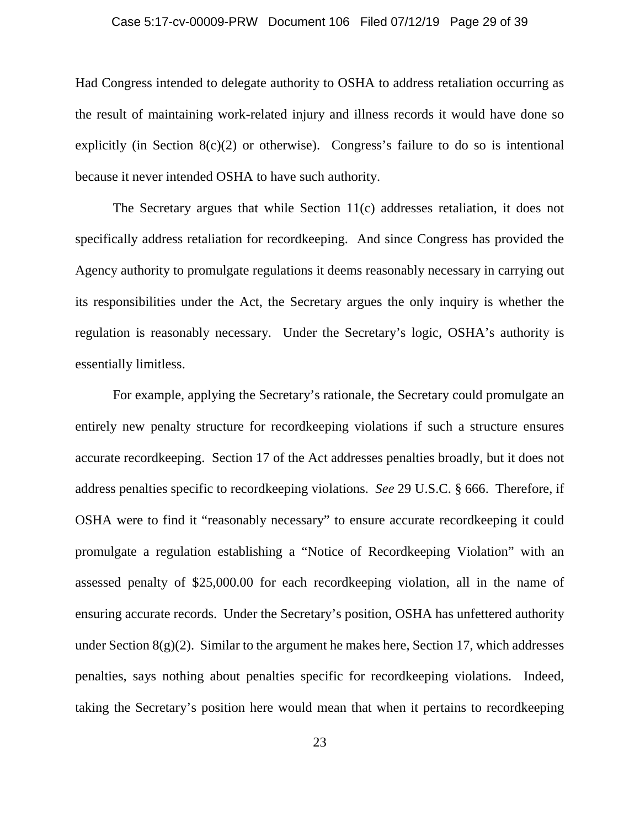#### Case 5:17-cv-00009-PRW Document 106 Filed 07/12/19 Page 29 of 39

Had Congress intended to delegate authority to OSHA to address retaliation occurring as the result of maintaining work-related injury and illness records it would have done so explicitly (in Section  $8(c)(2)$  or otherwise). Congress's failure to do so is intentional because it never intended OSHA to have such authority.

The Secretary argues that while Section 11(c) addresses retaliation, it does not specifically address retaliation for recordkeeping. And since Congress has provided the Agency authority to promulgate regulations it deems reasonably necessary in carrying out its responsibilities under the Act, the Secretary argues the only inquiry is whether the regulation is reasonably necessary. Under the Secretary's logic, OSHA's authority is essentially limitless.

For example, applying the Secretary's rationale, the Secretary could promulgate an entirely new penalty structure for recordkeeping violations if such a structure ensures accurate recordkeeping. Section 17 of the Act addresses penalties broadly, but it does not address penalties specific to recordkeeping violations. *See* 29 U.S.C. § 666. Therefore, if OSHA were to find it "reasonably necessary" to ensure accurate recordkeeping it could promulgate a regulation establishing a "Notice of Recordkeeping Violation" with an assessed penalty of \$25,000.00 for each recordkeeping violation, all in the name of ensuring accurate records. Under the Secretary's position, OSHA has unfettered authority under Section  $8(g)(2)$ . Similar to the argument he makes here, Section 17, which addresses penalties, says nothing about penalties specific for recordkeeping violations. Indeed, taking the Secretary's position here would mean that when it pertains to recordkeeping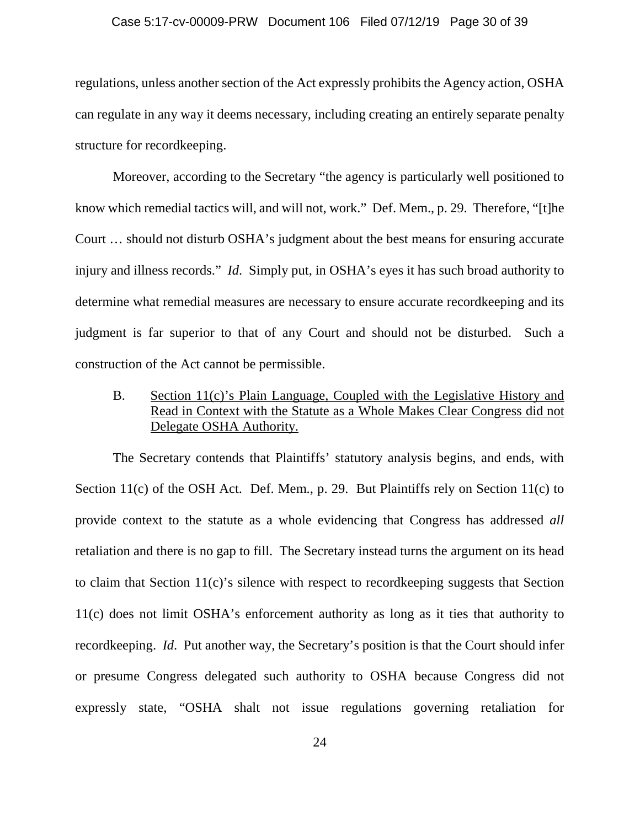#### Case 5:17-cv-00009-PRW Document 106 Filed 07/12/19 Page 30 of 39

regulations, unless another section of the Act expressly prohibits the Agency action, OSHA can regulate in any way it deems necessary, including creating an entirely separate penalty structure for recordkeeping.

Moreover, according to the Secretary "the agency is particularly well positioned to know which remedial tactics will, and will not, work." Def. Mem., p. 29. Therefore, "[t]he Court … should not disturb OSHA's judgment about the best means for ensuring accurate injury and illness records." *Id*. Simply put, in OSHA's eyes it has such broad authority to determine what remedial measures are necessary to ensure accurate recordkeeping and its judgment is far superior to that of any Court and should not be disturbed. Such a construction of the Act cannot be permissible.

B. Section 11(c)'s Plain Language, Coupled with the Legislative History and Read in Context with the Statute as a Whole Makes Clear Congress did not Delegate OSHA Authority.

The Secretary contends that Plaintiffs' statutory analysis begins, and ends, with Section 11(c) of the OSH Act. Def. Mem., p. 29. But Plaintiffs rely on Section 11(c) to provide context to the statute as a whole evidencing that Congress has addressed *all* retaliation and there is no gap to fill. The Secretary instead turns the argument on its head to claim that Section 11(c)'s silence with respect to recordkeeping suggests that Section 11(c) does not limit OSHA's enforcement authority as long as it ties that authority to recordkeeping. *Id*. Put another way, the Secretary's position is that the Court should infer or presume Congress delegated such authority to OSHA because Congress did not expressly state, "OSHA shalt not issue regulations governing retaliation for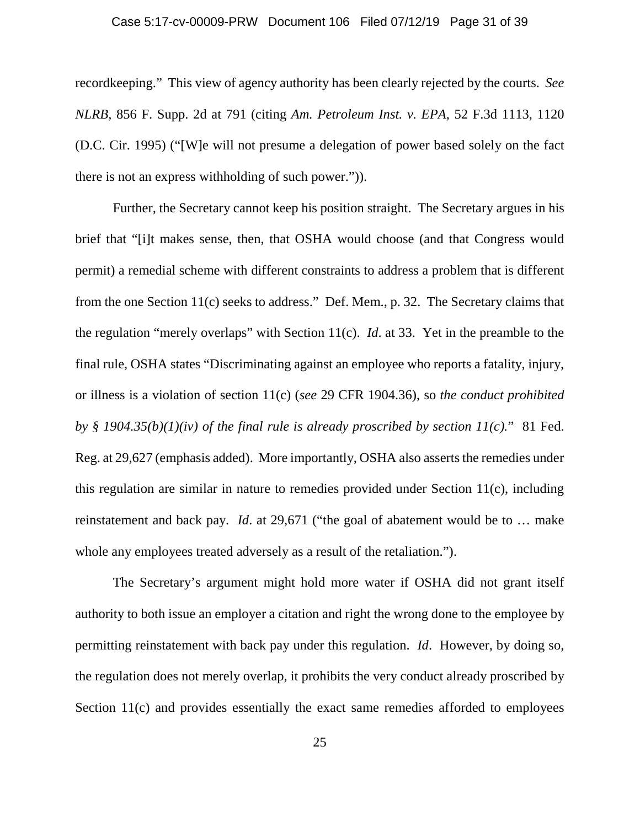#### Case 5:17-cv-00009-PRW Document 106 Filed 07/12/19 Page 31 of 39

recordkeeping." This view of agency authority has been clearly rejected by the courts. *See NLRB*, 856 F. Supp. 2d at 791 (citing *Am. Petroleum Inst. v. EPA*, 52 F.3d 1113, 1120 (D.C. Cir. 1995) ("[W]e will not presume a delegation of power based solely on the fact there is not an express withholding of such power.")).

Further, the Secretary cannot keep his position straight. The Secretary argues in his brief that "[i]t makes sense, then, that OSHA would choose (and that Congress would permit) a remedial scheme with different constraints to address a problem that is different from the one Section 11(c) seeks to address." Def. Mem., p. 32. The Secretary claims that the regulation "merely overlaps" with Section 11(c). *Id*. at 33. Yet in the preamble to the final rule, OSHA states "Discriminating against an employee who reports a fatality, injury, or illness is a violation of section 11(c) (*see* 29 CFR 1904.36), so *the conduct prohibited by § 1904.35(b)(1)(iv) of the final rule is already proscribed by section 11(c).*" 81 Fed. Reg. at 29,627 (emphasis added). More importantly, OSHA also asserts the remedies under this regulation are similar in nature to remedies provided under Section 11(c), including reinstatement and back pay. *Id*. at 29,671 ("the goal of abatement would be to … make whole any employees treated adversely as a result of the retaliation.").

The Secretary's argument might hold more water if OSHA did not grant itself authority to both issue an employer a citation and right the wrong done to the employee by permitting reinstatement with back pay under this regulation. *Id*. However, by doing so, the regulation does not merely overlap, it prohibits the very conduct already proscribed by Section 11(c) and provides essentially the exact same remedies afforded to employees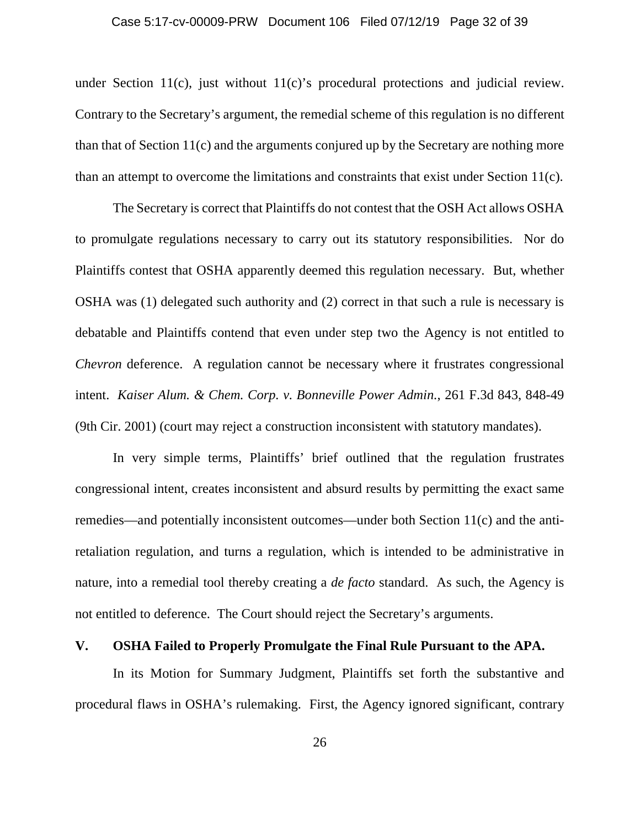under Section 11(c), just without 11(c)'s procedural protections and judicial review. Contrary to the Secretary's argument, the remedial scheme of this regulation is no different than that of Section 11(c) and the arguments conjured up by the Secretary are nothing more than an attempt to overcome the limitations and constraints that exist under Section 11(c).

The Secretary is correct that Plaintiffs do not contest that the OSH Act allows OSHA to promulgate regulations necessary to carry out its statutory responsibilities. Nor do Plaintiffs contest that OSHA apparently deemed this regulation necessary. But, whether OSHA was (1) delegated such authority and (2) correct in that such a rule is necessary is debatable and Plaintiffs contend that even under step two the Agency is not entitled to *Chevron* deference. A regulation cannot be necessary where it frustrates congressional intent. *Kaiser Alum. & Chem. Corp. v. Bonneville Power Admin.*, 261 F.3d 843, 848-49 (9th Cir. 2001) (court may reject a construction inconsistent with statutory mandates).

In very simple terms, Plaintiffs' brief outlined that the regulation frustrates congressional intent, creates inconsistent and absurd results by permitting the exact same remedies—and potentially inconsistent outcomes—under both Section 11(c) and the antiretaliation regulation, and turns a regulation, which is intended to be administrative in nature, into a remedial tool thereby creating a *de facto* standard. As such, the Agency is not entitled to deference. The Court should reject the Secretary's arguments.

### **V. OSHA Failed to Properly Promulgate the Final Rule Pursuant to the APA.**

In its Motion for Summary Judgment, Plaintiffs set forth the substantive and procedural flaws in OSHA's rulemaking. First, the Agency ignored significant, contrary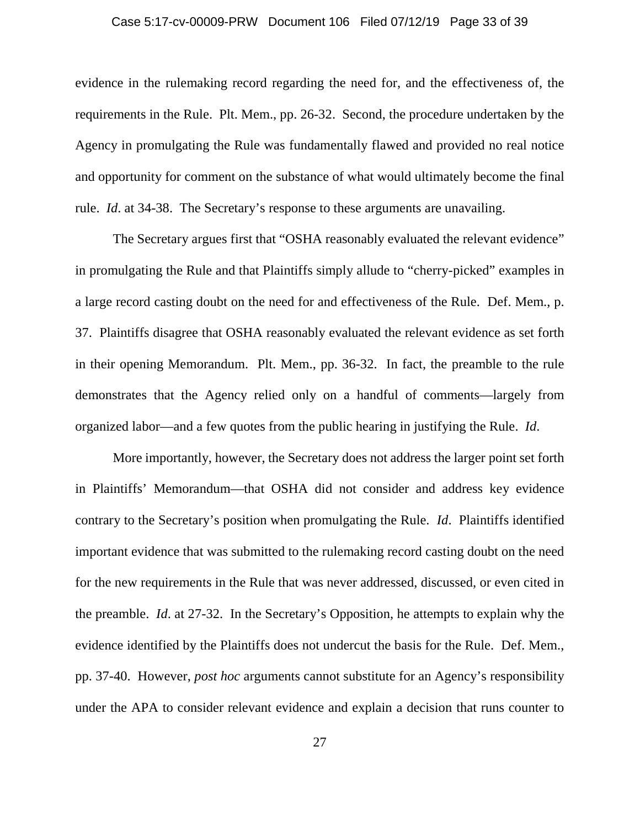#### Case 5:17-cv-00009-PRW Document 106 Filed 07/12/19 Page 33 of 39

evidence in the rulemaking record regarding the need for, and the effectiveness of, the requirements in the Rule. Plt. Mem., pp. 26-32. Second, the procedure undertaken by the Agency in promulgating the Rule was fundamentally flawed and provided no real notice and opportunity for comment on the substance of what would ultimately become the final rule. *Id*. at 34-38. The Secretary's response to these arguments are unavailing.

The Secretary argues first that "OSHA reasonably evaluated the relevant evidence" in promulgating the Rule and that Plaintiffs simply allude to "cherry-picked" examples in a large record casting doubt on the need for and effectiveness of the Rule. Def. Mem., p. 37. Plaintiffs disagree that OSHA reasonably evaluated the relevant evidence as set forth in their opening Memorandum. Plt. Mem., pp. 36-32. In fact, the preamble to the rule demonstrates that the Agency relied only on a handful of comments—largely from organized labor—and a few quotes from the public hearing in justifying the Rule. *Id*.

More importantly, however, the Secretary does not address the larger point set forth in Plaintiffs' Memorandum—that OSHA did not consider and address key evidence contrary to the Secretary's position when promulgating the Rule. *Id*. Plaintiffs identified important evidence that was submitted to the rulemaking record casting doubt on the need for the new requirements in the Rule that was never addressed, discussed, or even cited in the preamble. *Id*. at 27-32. In the Secretary's Opposition, he attempts to explain why the evidence identified by the Plaintiffs does not undercut the basis for the Rule. Def. Mem., pp. 37-40. However, *post hoc* arguments cannot substitute for an Agency's responsibility under the APA to consider relevant evidence and explain a decision that runs counter to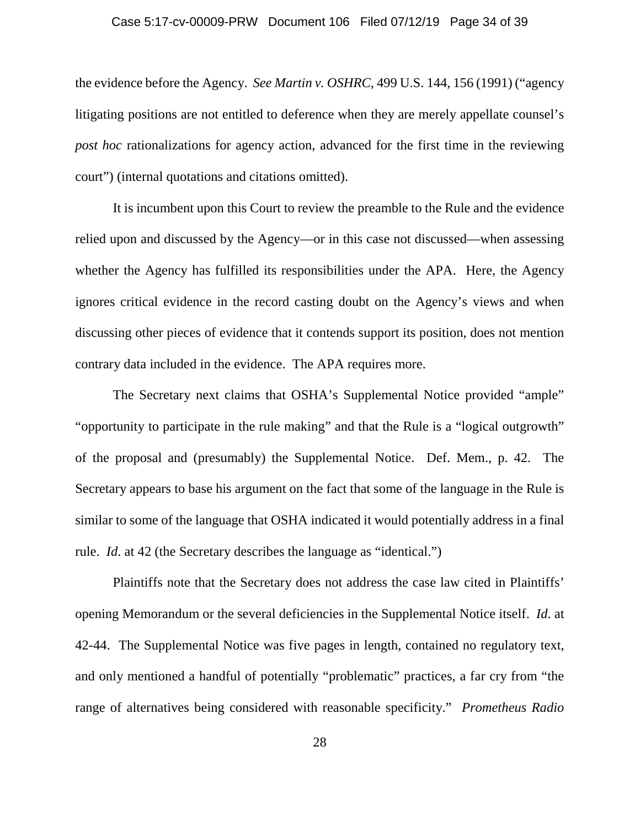#### Case 5:17-cv-00009-PRW Document 106 Filed 07/12/19 Page 34 of 39

the evidence before the Agency. *See Martin v. OSHRC*, 499 U.S. 144, 156 (1991) ("agency litigating positions are not entitled to deference when they are merely appellate counsel's *post hoc* rationalizations for agency action, advanced for the first time in the reviewing court") (internal quotations and citations omitted).

It is incumbent upon this Court to review the preamble to the Rule and the evidence relied upon and discussed by the Agency—or in this case not discussed—when assessing whether the Agency has fulfilled its responsibilities under the APA. Here, the Agency ignores critical evidence in the record casting doubt on the Agency's views and when discussing other pieces of evidence that it contends support its position, does not mention contrary data included in the evidence. The APA requires more.

The Secretary next claims that OSHA's Supplemental Notice provided "ample" "opportunity to participate in the rule making" and that the Rule is a "logical outgrowth" of the proposal and (presumably) the Supplemental Notice. Def. Mem., p. 42. The Secretary appears to base his argument on the fact that some of the language in the Rule is similar to some of the language that OSHA indicated it would potentially address in a final rule. *Id*. at 42 (the Secretary describes the language as "identical.")

Plaintiffs note that the Secretary does not address the case law cited in Plaintiffs' opening Memorandum or the several deficiencies in the Supplemental Notice itself. *Id*. at 42-44. The Supplemental Notice was five pages in length, contained no regulatory text, and only mentioned a handful of potentially "problematic" practices, a far cry from "the range of alternatives being considered with reasonable specificity." *Prometheus Radio*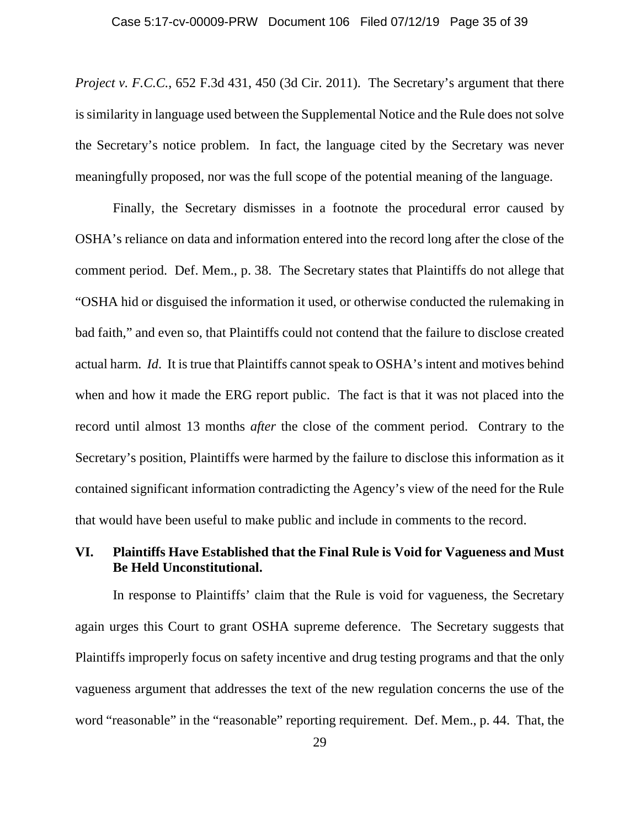*Project v. F.C.C.*, 652 F.3d 431, 450 (3d Cir. 2011). The Secretary's argument that there is similarity in language used between the Supplemental Notice and the Rule does not solve the Secretary's notice problem. In fact, the language cited by the Secretary was never meaningfully proposed, nor was the full scope of the potential meaning of the language.

Finally, the Secretary dismisses in a footnote the procedural error caused by OSHA's reliance on data and information entered into the record long after the close of the comment period. Def. Mem., p. 38. The Secretary states that Plaintiffs do not allege that "OSHA hid or disguised the information it used, or otherwise conducted the rulemaking in bad faith," and even so, that Plaintiffs could not contend that the failure to disclose created actual harm. *Id*. It is true that Plaintiffs cannot speak to OSHA's intent and motives behind when and how it made the ERG report public. The fact is that it was not placed into the record until almost 13 months *after* the close of the comment period. Contrary to the Secretary's position, Plaintiffs were harmed by the failure to disclose this information as it contained significant information contradicting the Agency's view of the need for the Rule that would have been useful to make public and include in comments to the record.

## **VI. Plaintiffs Have Established that the Final Rule is Void for Vagueness and Must Be Held Unconstitutional.**

In response to Plaintiffs' claim that the Rule is void for vagueness, the Secretary again urges this Court to grant OSHA supreme deference. The Secretary suggests that Plaintiffs improperly focus on safety incentive and drug testing programs and that the only vagueness argument that addresses the text of the new regulation concerns the use of the word "reasonable" in the "reasonable" reporting requirement. Def. Mem., p. 44. That, the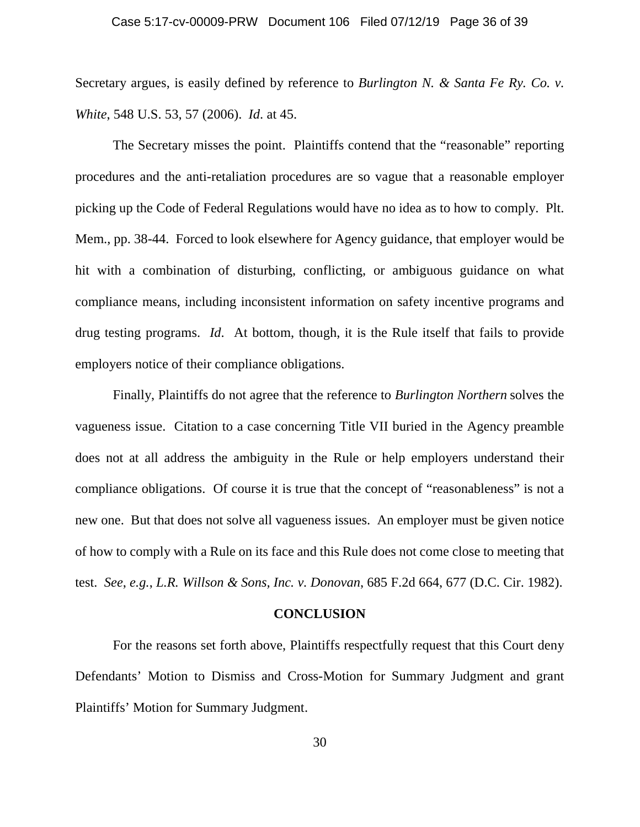Secretary argues, is easily defined by reference to *Burlington N. & Santa Fe Ry. Co. v. White*, 548 U.S. 53, 57 (2006). *Id*. at 45.

The Secretary misses the point. Plaintiffs contend that the "reasonable" reporting procedures and the anti-retaliation procedures are so vague that a reasonable employer picking up the Code of Federal Regulations would have no idea as to how to comply. Plt. Mem., pp. 38-44. Forced to look elsewhere for Agency guidance, that employer would be hit with a combination of disturbing, conflicting, or ambiguous guidance on what compliance means, including inconsistent information on safety incentive programs and drug testing programs. *Id*. At bottom, though, it is the Rule itself that fails to provide employers notice of their compliance obligations.

Finally, Plaintiffs do not agree that the reference to *Burlington Northern* solves the vagueness issue. Citation to a case concerning Title VII buried in the Agency preamble does not at all address the ambiguity in the Rule or help employers understand their compliance obligations. Of course it is true that the concept of "reasonableness" is not a new one. But that does not solve all vagueness issues. An employer must be given notice of how to comply with a Rule on its face and this Rule does not come close to meeting that test. *See*, *e.g.*, *L.R. Willson & Sons, Inc. v. Donovan*, 685 F.2d 664, 677 (D.C. Cir. 1982).

#### **CONCLUSION**

For the reasons set forth above, Plaintiffs respectfully request that this Court deny Defendants' Motion to Dismiss and Cross-Motion for Summary Judgment and grant Plaintiffs' Motion for Summary Judgment.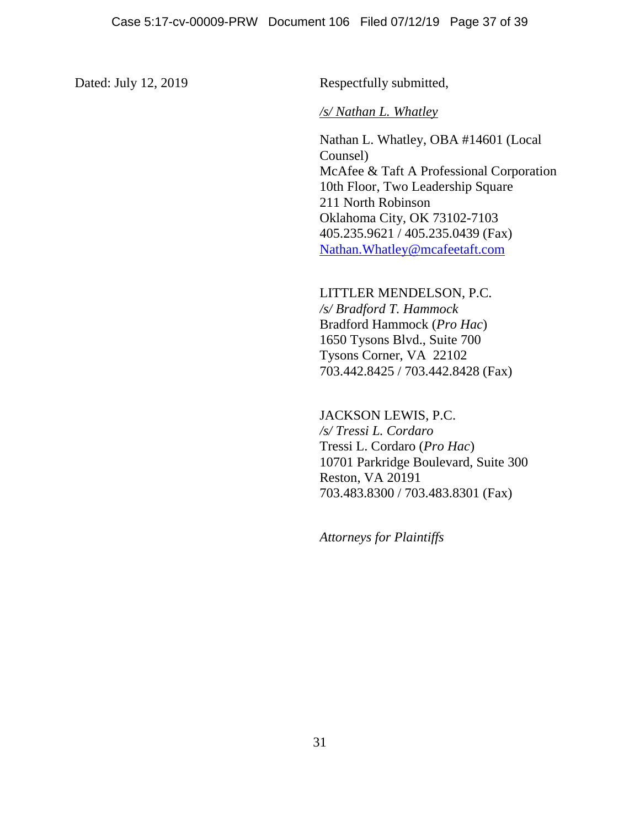Dated: July 12, 2019 Respectfully submitted,

### */s/ Nathan L. Whatley*

Nathan L. Whatley, OBA #14601 (Local Counsel) McAfee & Taft A Professional Corporation 10th Floor, Two Leadership Square 211 North Robinson Oklahoma City, OK 73102-7103 405.235.9621 / 405.235.0439 (Fax) Nathan.Whatley@mcafeetaft.com

LITTLER MENDELSON, P.C. */s/ Bradford T. Hammock* Bradford Hammock (*Pro Hac*) 1650 Tysons Blvd., Suite 700 Tysons Corner, VA 22102 703.442.8425 / 703.442.8428 (Fax)

JACKSON LEWIS, P.C. */s/ Tressi L. Cordaro* Tressi L. Cordaro (*Pro Hac*) 10701 Parkridge Boulevard, Suite 300 Reston, VA 20191 703.483.8300 / 703.483.8301 (Fax)

*Attorneys for Plaintiffs*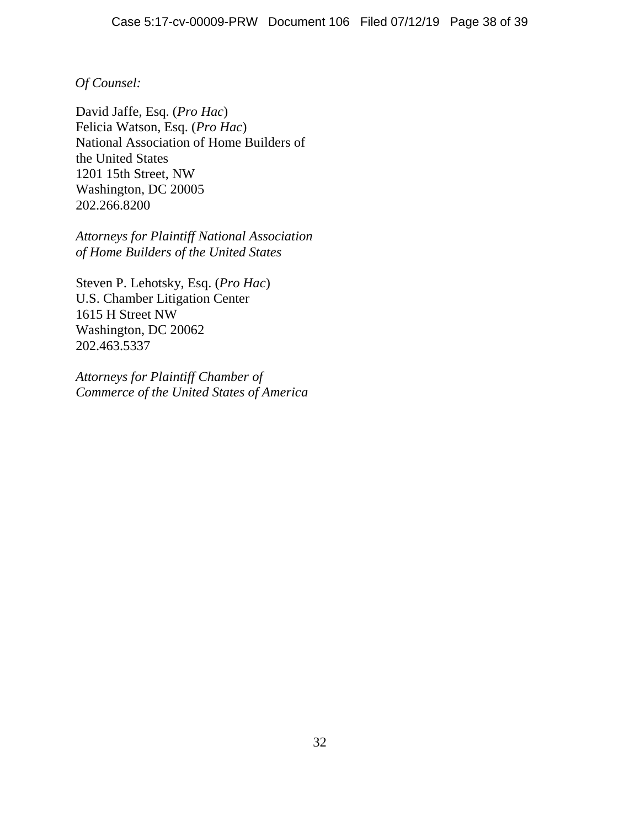## *Of Counsel:*

David Jaffe, Esq. (*Pro Hac*) Felicia Watson, Esq. (*Pro Hac*) National Association of Home Builders of the United States 1201 15th Street, NW Washington, DC 20005 202.266.8200

*Attorneys for Plaintiff National Association of Home Builders of the United States*

Steven P. Lehotsky, Esq. (*Pro Hac*) U.S. Chamber Litigation Center 1615 H Street NW Washington, DC 20062 202.463.5337

*Attorneys for Plaintiff Chamber of Commerce of the United States of America*